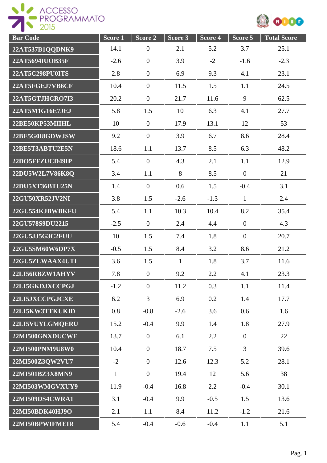



| <b>Bar Code</b>        | Score <sub>1</sub> | Score 2          | Score 3      | $Score\overline{4}$ | Score 5        | <b>Total Score</b> |
|------------------------|--------------------|------------------|--------------|---------------------|----------------|--------------------|
| 22AT537B1QQDNK9        | 14.1               | $\overline{0}$   | 2.1          | 5.2                 | 3.7            | 25.1               |
| 22AT5694IUOB35F        | $-2.6$             | $\mathbf{0}$     | 3.9          | $-2$                | $-1.6$         | $-2.3$             |
| <b>22AT5C298PU0ITS</b> | 2.8                | $\mathbf{0}$     | 6.9          | 9.3                 | 4.1            | 23.1               |
| 22AT5FGEJ7VB6CF        | 10.4               | $\mathbf{0}$     | 11.5         | 1.5                 | 1.1            | 24.5               |
| 22AT5GTJHCRO7I3        | 20.2               | $\mathbf{0}$     | 21.7         | 11.6                | 9              | 62.5               |
| 22AT5M1G16E7JEJ        | 5.8                | 1.5              | 10           | 6.3                 | 4.1            | 27.7               |
| 22BE50KP53MIIHL        | 10                 | $\overline{0}$   | 17.9         | 13.1                | 12             | 53                 |
| 22BE5G0I8GDWJSW        | 9.2                | $\theta$         | 3.9          | 6.7                 | 8.6            | 28.4               |
| 22BE5T3ABTU2E5N        | 18.6               | 1.1              | 13.7         | 8.5                 | 6.3            | 48.2               |
| 22DO5FFZUCD49IP        | 5.4                | $\mathbf{0}$     | 4.3          | 2.1                 | 1.1            | 12.9               |
| 22DU5W2L7V86K8Q        | 3.4                | 1.1              | 8            | 8.5                 | $\overline{0}$ | 21                 |
| 22DU5XT36BTU25N        | 1.4                | $\mathbf{0}$     | 0.6          | 1.5                 | $-0.4$         | 3.1                |
| 22GU50XR52JV2NI        | 3.8                | 1.5              | $-2.6$       | $-1.3$              | $\mathbf{1}$   | 2.4                |
| 22GU554KJBWBKFU        | 5.4                | 1.1              | 10.3         | 10.4                | 8.2            | 35.4               |
| 22GU578S9DU2215        | $-2.5$             | $\mathbf{0}$     | 2.4          | 4.4                 | $\mathbf{0}$   | 4.3                |
| 22GU5JJ5G3C2FUU        | 10                 | 1.5              | 7.4          | 1.8                 | $\overline{0}$ | 20.7               |
| 22GU5SM60W6DP7X        | $-0.5$             | 1.5              | 8.4          | 3.2                 | 8.6            | 21.2               |
| 22GU5ZLWAAX4UTL        | 3.6                | 1.5              | $\mathbf{1}$ | 1.8                 | 3.7            | 11.6               |
| 22LI56RBZW1AHYV        | 7.8                | $\boldsymbol{0}$ | 9.2          | 2.2                 | 4.1            | 23.3               |
| 22LI5GKDJXCCPGJ        | $-1.2$             | $\overline{0}$   | 11.2         | 0.3                 | 1.1            | 11.4               |
| 22LI5JXCCPGJCXE        | 6.2                | $\overline{3}$   | 6.9          | 0.2                 | 1.4            | 17.7               |
| 22LI5KW3TTKUKID        | 0.8                | $-0.8$           | $-2.6$       | 3.6                 | 0.6            | 1.6                |
| 22LI5VUYLGMQERU        | 15.2               | $-0.4$           | 9.9          | 1.4                 | 1.8            | 27.9               |
| 22MI500GNXDUCWE        | 13.7               | $\mathbf{0}$     | 6.1          | 2.2                 | $\overline{0}$ | 22                 |
| 22MI500PNM9U8W0        | 10.4               | $\mathbf{0}$     | 18.7         | 7.5                 | $\mathfrak{Z}$ | 39.6               |
| 22MI500Z3QW2VU7        | $-2$               | $\boldsymbol{0}$ | 12.6         | 12.3                | 5.2            | 28.1               |
| 22MI501BZ3X8MN9        | $\mathbf{1}$       | $\mathbf{0}$     | 19.4         | 12                  | 5.6            | 38                 |
| 22MI503WMGVXUY9        | 11.9               | $-0.4$           | 16.8         | 2.2                 | $-0.4$         | 30.1               |
| 22MI509DS4CWRA1        | 3.1                | $-0.4$           | 9.9          | $-0.5$              | 1.5            | 13.6               |
| 22MI50BDK40HJ9O        | 2.1                | 1.1              | 8.4          | 11.2                | $-1.2$         | 21.6               |
| 22MI50BPWIFMEIR        | 5.4                | $-0.4$           | $-0.6$       | $-0.4$              | 1.1            | 5.1                |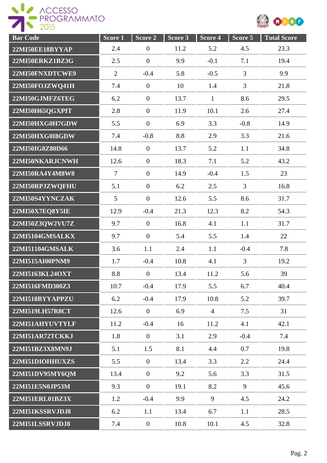



| <b>Bar Code</b> | Score <sub>1</sub> | Score 2          | Score 3 | Score 4        | Score 5        | <b>Total Score</b> |
|-----------------|--------------------|------------------|---------|----------------|----------------|--------------------|
| 22MI50EE18BYYAP | 2.4                | $\overline{0}$   | 11.2    | 5.2            | 4.5            | 23.3               |
| 22MI50ERKZ1BZ3G | 2.5                | $\overline{0}$   | 9.9     | $-0.1$         | 7.1            | 19.4               |
| 22MI50FNXDTCWE9 | $\overline{2}$     | $-0.4$           | 5.8     | $-0.5$         | $\overline{3}$ | 9.9                |
| 22MI50FOJZWQ41H | 7.4                | $\boldsymbol{0}$ | 10      | 1.4            | 3              | 21.8               |
| 22MI50GJMFZ6TEG | 6.2                | $\boldsymbol{0}$ | 13.7    | $\mathbf{1}$   | 8.6            | 29.5               |
| 22MI50H65QGXPIT | 2.8                | $\overline{0}$   | 11.9    | 10.1           | 2.6            | 27.4               |
| 22MI50HXG0H7GDW | 5.5                | $\overline{0}$   | 6.9     | 3.3            | $-0.8$         | 14.9               |
| 22MI50HXG0I8GDW | 7.4                | $-0.8$           | 8.8     | 2.9            | 3.3            | 21.6               |
| 22MI50IG8Z80D66 | 14.8               | $\overline{0}$   | 13.7    | 5.2            | 1.1            | 34.8               |
| 22MI50NKARJCNWH | 12.6               | $\boldsymbol{0}$ | 18.3    | 7.1            | 5.2            | 43.2               |
| 22MI50RA4Y4M8W8 | $\overline{7}$     | $\overline{0}$   | 14.9    | $-0.4$         | 1.5            | 23                 |
| 22MI50RPJZWQFHU | 5.1                | $\overline{0}$   | 6.2     | 2.5            | $\overline{3}$ | 16.8               |
| 22MI50S4YYNCZAK | 5                  | $\overline{0}$   | 12.6    | 5.5            | 8.6            | 31.7               |
| 22MI50X7EQ8Y5IE | 12.9               | $-0.4$           | 21.3    | 12.3           | 8.2            | 54.3               |
| 22MI50Z3QW2VU7Z | 9.7                | $\overline{0}$   | 16.8    | 4.1            | 1.1            | 31.7               |
| 22MI5104GMSALKX | 9.7                | $\overline{0}$   | 5.4     | 5.5            | 1.4            | 22                 |
| 22MI51104GMSALK | 3.6                | 1.1              | 2.4     | 1.1            | $-0.4$         | 7.8                |
| 22MI515AI00PNM9 | 1.7                | $-0.4$           | 10.8    | 4.1            | $\overline{3}$ | 19.2               |
| 22MI5163KL24OXT | 8.8                | $\boldsymbol{0}$ | 13.4    | 11.2           | 5.6            | 39                 |
| 22MI516FMD300Z3 | 10.7               | $-0.4$           | 17.9    | 5.5            | 6.7            | 40.4               |
| 22MI518BYYAPPZU | 6.2                | $-0.4$           | 17.9    | 10.8           | 5.2            | 39.7               |
| 22MI519LH57R8CT | 12.6               | $\mathbf{0}$     | 6.9     | $\overline{4}$ | 7.5            | 31                 |
| 22MI51AHYUVTYLF | 11.2               | $-0.4$           | 16      | 11.2           | 4.1            | 42.1               |
| 22MI51AR72TCKKJ | 1.8                | $\mathbf{0}$     | 3.1     | 2.9            | $-0.4$         | 7.4                |
| 22MI51BZ3X8MN9J | 5.1                | 1.5              | 8.1     | 4.4            | 0.7            | 19.8               |
| 22MI51DIOHHUXZS | 5.5                | $\mathbf{0}$     | 13.4    | 3.3            | 2.2            | 24.4               |
| 22MI51DV95MY6QM | 13.4               | $\mathbf{0}$     | 9.2     | 5.6            | 3.3            | 31.5               |
| 22MI51E5N0JP53M | 9.3                | $\mathbf{0}$     | 19.1    | 8.2            | 9              | 45.6               |
| 22MI51ERL01BZ3X | 1.2                | $-0.4$           | 9.9     | 9              | 4.5            | 24.2               |
| 22MI51KSSRVJDJ8 | 6.2                | 1.1              | 13.4    | 6.7            | 1.1            | 28.5               |
| 22MI51LSSRVJDJ8 | 7.4                | $\overline{0}$   | 10.8    | 10.1           | 4.5            | 32.8               |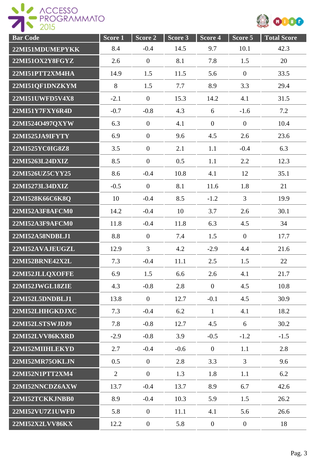

| <b>Bar Code</b> | Score 1        | Score 2          | Score <sub>3</sub> | Score 4        | Score 5          | <b>Total Score</b> |
|-----------------|----------------|------------------|--------------------|----------------|------------------|--------------------|
| 22MI51MDUMEPYKK | 8.4            | $-0.4$           | 14.5               | 9.7            | 10.1             | 42.3               |
| 22MI51OX2Y8FGYZ | 2.6            | $\boldsymbol{0}$ | 8.1                | 7.8            | 1.5              | 20                 |
| 22MI51PTT2XM4HA | 14.9           | 1.5              | 11.5               | 5.6            | $\boldsymbol{0}$ | 33.5               |
| 22MI51QF1DNZKYM | 8              | 1.5              | 7.7                | 8.9            | 3.3              | 29.4               |
| 22MI51UWFD5V4X8 | $-2.1$         | $\theta$         | 15.3               | 14.2           | 4.1              | 31.5               |
| 22MI51Y7FXY6R4D | $-0.7$         | $-0.8$           | 4.3                | 6              | $-1.6$           | 7.2                |
| 22MI524O497QXYW | 6.3            | $\overline{0}$   | 4.1                | $\overline{0}$ | $\overline{0}$   | 10.4               |
| 22MI525JA9IFYTY | 6.9            | $\mathbf{0}$     | 9.6                | 4.5            | 2.6              | 23.6               |
| 22MI525YC0IG8Z8 | 3.5            | $\overline{0}$   | 2.1                | 1.1            | $-0.4$           | 6.3                |
| 22MI5263L24DXIZ | 8.5            | $\theta$         | 0.5                | 1.1            | 2.2              | 12.3               |
| 22MI526UZ5CYY25 | 8.6            | $-0.4$           | 10.8               | 4.1            | 12               | 35.1               |
| 22MI5273L34DXIZ | $-0.5$         | $\mathbf{0}$     | 8.1                | 11.6           | 1.8              | 21                 |
| 22MI528K66C6K8Q | 10             | $-0.4$           | 8.5                | $-1.2$         | 3                | 19.9               |
| 22MI52A3F8AFCM0 | 14.2           | $-0.4$           | 10                 | 3.7            | 2.6              | 30.1               |
| 22MI52A3F9AFCM0 | 11.8           | $-0.4$           | 11.8               | 6.3            | 4.5              | 34                 |
| 22MI52A58NDBLJ1 | 8.8            | $\mathbf{0}$     | 7.4                | 1.5            | $\overline{0}$   | 17.7               |
| 22MI52AVAJEUGZL | 12.9           | $\overline{3}$   | 4.2                | $-2.9$         | 4.4              | 21.6               |
| 22MI52BRNE42X2L | 7.3            | $-0.4$           | 11.1               | 2.5            | 1.5              | 22                 |
| 22MI52JLLQXOFFE | 6.9            | 1.5              | 6.6                | 2.6            | 4.1              | 21.7               |
| 22MI52JWGL18ZIE | 4.3            | $-0.8$           | 2.8                | $\overline{0}$ | 4.5              | 10.8               |
| 22MI52L5DNDBLJ1 | 13.8           | $\mathbf{0}$     | 12.7               | $-0.1$         | 4.5              | 30.9               |
| 22MI52LHHGKDJXC | 7.3            | $-0.4$           | 6.2                | $\mathbf{1}$   | 4.1              | 18.2               |
| 22MI52LSTSWJDJ9 | 7.8            | $-0.8$           | 12.7               | 4.5            | 6                | 30.2               |
| 22MI52LVV86KXRD | $-2.9$         | $-0.8$           | 3.9                | $-0.5$         | $-1.2$           | $-1.5$             |
| 22MI52MIIHLEKYD | 2.7            | $-0.4$           | $-0.6$             | $\overline{0}$ | 1.1              | 2.8                |
| 22MI52MR75OKLJN | 0.5            | $\mathbf{0}$     | 2.8                | 3.3            | $\overline{3}$   | 9.6                |
| 22MI52N1PTT2XM4 | $\overline{2}$ | $\mathbf{0}$     | 1.3                | 1.8            | 1.1              | 6.2                |
| 22MI52NNCDZ6AXW | 13.7           | $-0.4$           | 13.7               | 8.9            | 6.7              | 42.6               |
| 22MI52TCKKJNBB0 | 8.9            | $-0.4$           | 10.3               | 5.9            | 1.5              | 26.2               |
| 22MI52VU7Z1UWFD | 5.8            | $\mathbf{0}$     | 11.1               | 4.1            | 5.6              | 26.6               |
| 22MI52X2LVV86KX | 12.2           | $\boldsymbol{0}$ | 5.8                | $\overline{0}$ | $\overline{0}$   | 18                 |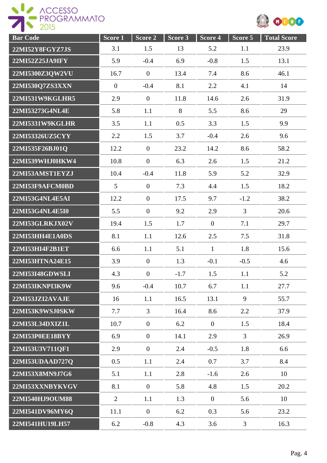

| <b>Bar</b> Code | Score <sub>1</sub> | Score <sub>2</sub> | Score 3 | Score 4          | Score 5        | <b>Total Score</b> |
|-----------------|--------------------|--------------------|---------|------------------|----------------|--------------------|
| 22MI52Y8FGYZ7JS | 3.1                | 1.5                | 13      | 5.2              | 1.1            | 23.9               |
| 22MI52Z25JA9IFY | 5.9                | $-0.4$             | 6.9     | $-0.8$           | 1.5            | 13.1               |
| 22MI5300Z3OW2VU | 16.7               | $\boldsymbol{0}$   | 13.4    | 7.4              | 8.6            | 46.1               |
| 22MI530Q7ZS3XXN | $\overline{0}$     | $-0.4$             | 8.1     | 2.2              | 4.1            | 14                 |
| 22MI531W9KGLHR5 | 2.9                | $\mathbf{0}$       | 11.8    | 14.6             | 2.6            | 31.9               |
| 22MI53273G4NL4E | 5.8                | 1.1                | 8       | 5.5              | 8.6            | 29                 |
| 22MI5331W9KGLHR | 3.5                | 1.1                | 0.5     | 3.3              | 1.5            | 9.9                |
| 22MI53326UZ5CYY | 2.2                | 1.5                | 3.7     | $-0.4$           | 2.6            | 9.6                |
| 22MI535F26BJ01Q | 12.2               | $\mathbf{0}$       | 23.2    | 14.2             | 8.6            | 58.2               |
| 22MI539WHJ0HKW4 | 10.8               | $\mathbf{0}$       | 6.3     | 2.6              | 1.5            | 21.2               |
| 22MI53AMST1EYZJ | 10.4               | $-0.4$             | 11.8    | 5.9              | 5.2            | 32.9               |
| 22MI53F9AFCM0BD | 5 <sup>5</sup>     | $\mathbf{0}$       | 7.3     | 4.4              | 1.5            | 18.2               |
| 22MI53G4NL4E5AI | 12.2               | $\overline{0}$     | 17.5    | 9.7              | $-1.2$         | 38.2               |
| 22MI53G4NL4E5I0 | 5.5                | $\mathbf{0}$       | 9.2     | 2.9              | $\overline{3}$ | 20.6               |
| 22MI53GLRKJX02V | 19.4               | 1.5                | 1.7     | $\mathbf{0}$     | 7.1            | 29.7               |
| 22MI53HH4E1A0DS | 8.1                | 1.1                | 12.6    | 2.5              | 7.5            | 31.8               |
| 22MI53HI4F2B1ET | 6.6                | 1.1                | 5.1     | $\mathbf{1}$     | 1.8            | 15.6               |
| 22MI53HTNA24E15 | 3.9                | $\mathbf{0}$       | 1.3     | $-0.1$           | $-0.5$         | 4.6                |
| 22MI53I48GDWSLI | 4.3                | $\boldsymbol{0}$   | $-1.7$  | 1.5              | 1.1            | 5.2                |
| 22MI53IKNPI3K9W | 9.6                | $-0.4$             | 10.7    | 6.7              | 1.1            | 27.7               |
| 22MI53JZI2AVAJE | 16                 | 1.1                | 16.5    | 13.1             | 9              | 55.7               |
| 22MI53K9WSJ0SKW | 7.7                | 3                  | 16.4    | 8.6              | 2.2            | 37.9               |
| 22MI53L34DXIZ1L | 10.7               | $\mathbf{0}$       | 6.2     | $\overline{0}$   | 1.5            | 18.4               |
| 22MI53P0EE18BYY | 6.9                | $\mathbf{0}$       | 14.1    | 2.9              | $\overline{3}$ | 26.9               |
| 22MI53U3V711QF1 | 2.9                | $\overline{0}$     | 2.4     | $-0.5$           | 1.8            | 6.6                |
| 22MI53UDAAD727Q | 0.5                | 1.1                | 2.4     | 0.7              | 3.7            | 8.4                |
| 22MI53X8MN9J7G6 | 5.1                | 1.1                | 2.8     | $-1.6$           | 2.6            | 10                 |
| 22MI53XXNBYKVGV | 8.1                | $\boldsymbol{0}$   | 5.8     | 4.8              | 1.5            | 20.2               |
| 22MI540HJ9OUM88 | $\overline{2}$     | 1.1                | 1.3     | $\boldsymbol{0}$ | 5.6            | 10                 |
| 22MI541DV96MY6Q | 11.1               | $\mathbf{0}$       | 6.2     | 0.3              | 5.6            | 23.2               |
| 22MI541HU19LH57 | 6.2                | $-0.8$             | 4.3     | 3.6              | 3              | 16.3               |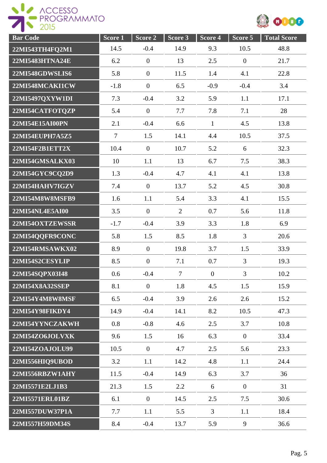



| <b>Bar</b> Code | Score 1        | Score 2          | Score 3        | Score 4          | Score 5          | <b>Total Score</b> |
|-----------------|----------------|------------------|----------------|------------------|------------------|--------------------|
| 22MI543TH4FQ2M1 | 14.5           | $-0.4$           | 14.9           | 9.3              | 10.5             | 48.8               |
| 22MI5483HTNA24E | 6.2            | $\boldsymbol{0}$ | 13             | 2.5              | $\boldsymbol{0}$ | 21.7               |
| 22MI548GDWSLIS6 | 5.8            | $\boldsymbol{0}$ | 11.5           | 1.4              | 4.1              | 22.8               |
| 22MI548MCAKI1CW | $-1.8$         | $\overline{0}$   | 6.5            | $-0.9$           | $-0.4$           | 3.4                |
| 22MI5497QXYW1DI | 7.3            | $-0.4$           | 3.2            | 5.9              | 1.1              | 17.1               |
| 22MI54CATFOTQZP | 5.4            | $\boldsymbol{0}$ | 7.7            | 7.8              | 7.1              | 28                 |
| 22MI54E15AI00PN | 2.1            | $-0.4$           | 6.6            | $\mathbf{1}$     | 4.5              | 13.8               |
| 22MI54EUPH7A5Z5 | $\overline{7}$ | 1.5              | 14.1           | 4.4              | 10.5             | 37.5               |
| 22MI54F2B1ETT2X | 10.4           | $\boldsymbol{0}$ | 10.7           | 5.2              | 6                | 32.3               |
| 22MI54GMSALKX03 | 10             | 1.1              | 13             | 6.7              | 7.5              | 38.3               |
| 22MI54GYC9CQ2D9 | 1.3            | $-0.4$           | 4.7            | 4.1              | 4.1              | 13.8               |
| 22MI54HAHV7IGZV | 7.4            | $\mathbf{0}$     | 13.7           | 5.2              | 4.5              | 30.8               |
| 22MI54M8W8MSFB9 | 1.6            | 1.1              | 5.4            | 3.3              | 4.1              | 15.5               |
| 22MI54NL4E5AI00 | 3.5            | $\boldsymbol{0}$ | $\overline{2}$ | 0.7              | 5.6              | 11.8               |
| 22MI54OXTZEWSSR | $-1.7$         | $-0.4$           | 3.9            | 3.3              | 1.8              | 6.9                |
| 22MI54QQFR9CONC | 5.8            | 1.5              | 8.5            | 1.8              | 3                | 20.6               |
| 22MI54RMSAWKX02 | 8.9            | $\overline{0}$   | 19.8           | 3.7              | 1.5              | 33.9               |
| 22MI54S2CESYLIP | 8.5            | $\mathbf{0}$     | 7.1            | 0.7              | $\overline{3}$   | 19.3               |
| 22MI54SQPX03I48 | 0.6            | $-0.4$           | $\overline{7}$ | $\boldsymbol{0}$ | 3                | 10.2               |
| 22MI54X8A32SSEP | 8.1            | $\overline{0}$   | 1.8            | 4.5              | 1.5              | 15.9               |
| 22MI54Y4M8W8MSF | 6.5            | $-0.4$           | 3.9            | 2.6              | 2.6              | 15.2               |
| 22MI54Y98FIKDY4 | 14.9           | $-0.4$           | 14.1           | 8.2              | 10.5             | 47.3               |
| 22MI54YYNCZAKWH | 0.8            | $-0.8$           | 4.6            | 2.5              | 3.7              | 10.8               |
| 22MI54ZO6JOLVXK | 9.6            | 1.5              | 16             | 6.3              | $\overline{0}$   | 33.4               |
| 22MI54ZOAJOLU99 | 10.5           | $\overline{0}$   | 4.7            | 2.5              | 5.6              | 23.3               |
| 22MI556HIQ9UBOD | 3.2            | 1.1              | 14.2           | 4.8              | 1.1              | 24.4               |
| 22MI556RBZW1AHY | 11.5           | $-0.4$           | 14.9           | 6.3              | 3.7              | 36                 |
| 22MI5571E2LJ1B3 | 21.3           | 1.5              | 2.2            | 6                | $\boldsymbol{0}$ | 31                 |
| 22MI5571ERL01BZ | 6.1            | $\boldsymbol{0}$ | 14.5           | 2.5              | 7.5              | 30.6               |
| 22MI557DUW37P1A | 7.7            | 1.1              | 5.5            | $\overline{3}$   | 1.1              | 18.4               |
| 22MI557H59DM34S | 8.4            | $-0.4$           | 13.7           | 5.9              | 9                | 36.6               |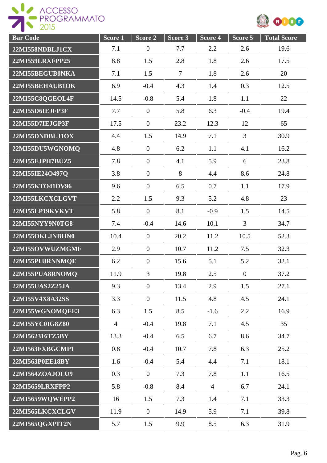



| <b>Bar Code</b> | Score 1        | Score 2        | Score 3 | Score 4        | Score 5          | <b>Total Score</b> |
|-----------------|----------------|----------------|---------|----------------|------------------|--------------------|
| 22MI558NDBLJ1CX | 7.1            | $\overline{0}$ | 7.7     | 2.2            | 2.6              | 19.6               |
| 22MI559LRXFPP25 | 8.8            | 1.5            | 2.8     | 1.8            | 2.6              | 17.5               |
| 22MI55BEGUB0NKA | 7.1            | 1.5            | $\tau$  | 1.8            | 2.6              | 20                 |
| 22MI55BEHAUB1OK | 6.9            | $-0.4$         | 4.3     | 1.4            | 0.3              | 12.5               |
| 22MI55C8QGEOL4F | 14.5           | $-0.8$         | 5.4     | 1.8            | 1.1              | 22                 |
| 22MI55D6IEJFP3F | 7.7            | $\mathbf{0}$   | 5.8     | 6.3            | $-0.4$           | 19.4               |
| 22MI55D7IEJGP3F | 17.5           | $\mathbf{0}$   | 23.2    | 12.3           | 12               | 65                 |
| 22MI55DNDBLJ1OX | 4.4            | 1.5            | 14.9    | 7.1            | $\overline{3}$   | 30.9               |
| 22MI55DU5WGNOMQ | 4.8            | $\mathbf{0}$   | 6.2     | 1.1            | 4.1              | 16.2               |
| 22MI55EJPH7BUZ5 | 7.8            | $\overline{0}$ | 4.1     | 5.9            | 6                | 23.8               |
| 22MI55IE24O497Q | 3.8            | $\overline{0}$ | 8       | 4.4            | 8.6              | 24.8               |
| 22MI55KTO41DV96 | 9.6            | $\mathbf{0}$   | 6.5     | 0.7            | 1.1              | 17.9               |
| 22MI55LKCXCLGVT | 2.2            | 1.5            | 9.3     | 5.2            | 4.8              | 23                 |
| 22MI55LP19KVKVT | 5.8            | $\overline{0}$ | 8.1     | $-0.9$         | 1.5              | 14.5               |
| 22MI55NYY9N0TG8 | 7.4            | $-0.4$         | 14.6    | 10.1           | 3                | 34.7               |
| 22MI55OKLJNBHN0 | 10.4           | $\theta$       | 20.2    | 11.2           | 10.5             | 52.3               |
| 22MI55OVWUZMGMF | 2.9            | $\overline{0}$ | 10.7    | 11.2           | 7.5              | 32.3               |
| 22MI55PU8RNNMQE | 6.2            | $\overline{0}$ | 15.6    | 5.1            | 5.2              | 32.1               |
| 22MI55PUA8RNOMO | 11.9           | 3              | 19.8    | 2.5            | $\boldsymbol{0}$ | 37.2               |
| 22MI55UAS2Z25JA | 9.3            | $\overline{0}$ | 13.4    | 2.9            | 1.5              | 27.1               |
| 22MI55V4X8A32SS | 3.3            | $\overline{0}$ | 11.5    | 4.8            | 4.5              | 24.1               |
| 22MI55WGNOMQEE3 | 6.3            | 1.5            | 8.5     | $-1.6$         | 2.2              | 16.9               |
| 22MI55YC0IG8Z80 | $\overline{4}$ | $-0.4$         | 19.8    | 7.1            | 4.5              | 35                 |
| 22MI562316TZ5BY | 13.3           | $-0.4$         | 6.5     | 6.7            | 8.6              | 34.7               |
| 22MI563FXBGCMP1 | 0.8            | $-0.4$         | 10.7    | 7.8            | 6.3              | 25.2               |
| 22MI563P0EE18BY | 1.6            | $-0.4$         | 5.4     | 4.4            | 7.1              | 18.1               |
| 22MI564ZOAJOLU9 | 0.3            | $\mathbf{0}$   | 7.3     | 7.8            | 1.1              | 16.5               |
| 22MI5659LRXFPP2 | 5.8            | $-0.8$         | 8.4     | $\overline{4}$ | 6.7              | 24.1               |
| 22MI5659WQWEPP2 | 16             | 1.5            | 7.3     | 1.4            | 7.1              | 33.3               |
| 22MI565LKCXCLGV | 11.9           | $\mathbf{0}$   | 14.9    | 5.9            | 7.1              | 39.8               |
| 22MI565QGXPIT2N | 5.7            | 1.5            | 9.9     | 8.5            | 6.3              | 31.9               |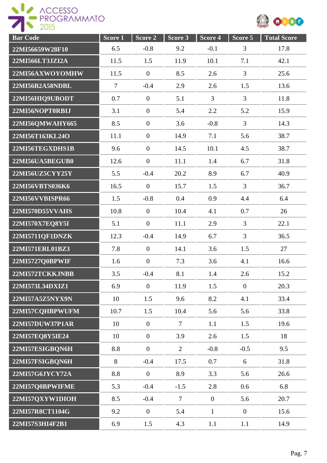

| <b>Bar Code</b> | Score 1        | Score 2          | Score 3        | Score 4          | Score 5        | <b>Total Score</b> |
|-----------------|----------------|------------------|----------------|------------------|----------------|--------------------|
| 22MI56659W28F10 | 6.5            | $-0.8$           | 9.2            | $-0.1$           | 3              | 17.8               |
| 22MI566LT3JZI2A | 11.5           | 1.5              | 11.9           | 10.1             | 7.1            | 42.1               |
| 22MI56AXWOYOMHW | 11.5           | $\boldsymbol{0}$ | 8.5            | 2.6              | $\overline{3}$ | 25.6               |
| 22MI56B2A58NDBL | $\overline{7}$ | $-0.4$           | 2.9            | 2.6              | 1.5            | 13.6               |
| 22MI56HIQ9UBODT | 0.7            | $\overline{0}$   | 5.1            | 3                | $\overline{3}$ | 11.8               |
| 22MI56NOPT0RBIJ | 3.1            | $\boldsymbol{0}$ | 5.4            | 2.2              | 5.2            | 15.9               |
| 22MI56QMWAHY665 | 8.5            | $\boldsymbol{0}$ | 3.6            | $-0.8$           | $\overline{3}$ | 14.3               |
| 22MI56T163KL24O | 11.1           | $\mathbf{0}$     | 14.9           | 7.1              | 5.6            | 38.7               |
| 22MI56TEGXDHS1B | 9.6            | $\overline{0}$   | 14.5           | 10.1             | 4.5            | 38.7               |
| 22MI56UA5BEGUB0 | 12.6           | $\theta$         | 11.1           | 1.4              | 6.7            | 31.8               |
| 22MI56UZ5CYY25Y | 5.5            | $-0.4$           | 20.2           | 8.9              | 6.7            | 40.9               |
| 22MI56VBTS036K6 | 16.5           | $\overline{0}$   | 15.7           | 1.5              | $\overline{3}$ | 36.7               |
| 22MI56VVBISPR66 | 1.5            | $-0.8$           | 0.4            | 0.9              | 4.4            | 6.4                |
| 22MI570D55VVAHS | 10.8           | $\boldsymbol{0}$ | 10.4           | 4.1              | 0.7            | 26                 |
| 22MI570X7EQ8Y5I | 5.1            | $\boldsymbol{0}$ | 11.1           | 2.9              | $\overline{3}$ | 22.1               |
| 22MI5711QF1DNZK | 12.3           | $-0.4$           | 14.9           | 6.7              | $\overline{3}$ | 36.5               |
| 22MI571ERL01BZ3 | 7.8            | $\boldsymbol{0}$ | 14.1           | 3.6              | 1.5            | 27                 |
| 22MI5727Q0BPWIF | 1.6            | $\overline{0}$   | 7.3            | 3.6              | 4.1            | 16.6               |
| 22MI572TCKKJNBB | 3.5            | $-0.4$           | 8.1            | 1.4              | 2.6            | 15.2               |
| 22MI573L34DXIZ1 | 6.9            | $\overline{0}$   | 11.9           | 1.5              | $\overline{0}$ | 20.3               |
| 22MI57A5Z5NYX9N | 10             | 1.5              | 9.6            | 8.2              | 4.1            | 33.4               |
| 22MI57CQHBPWUFM | 10.7           | 1.5              | 10.4           | 5.6              | 5.6            | 33.8               |
| 22MI57DUW37P1AR | 10             | $\overline{0}$   | $\tau$         | 1.1              | 1.5            | 19.6               |
| 22MI57EQ8Y5IE24 | 10             | $\overline{0}$   | 3.9            | 2.6              | 1.5            | 18                 |
| 22MI57ESIGBQN6H | 8.8            | $\overline{0}$   | $\overline{2}$ | $-0.8$           | $-0.5$         | 9.5                |
| 22MI57FSIGBQN6H | 8              | $-0.4$           | 17.5           | 0.7              | 6              | 31.8               |
| 22MI57G6JYCY72A | 8.8            | $\mathbf{0}$     | 8.9            | 3.3              | 5.6            | 26.6               |
| 22MI57Q0BPWIFME | 5.3            | $-0.4$           | $-1.5$         | 2.8              | 0.6            | 6.8                |
| 22MI57QXYW1DIOH | 8.5            | $-0.4$           | $\overline{7}$ | $\boldsymbol{0}$ | 5.6            | 20.7               |
| 22MI57R8CT1104G | 9.2            | $\overline{0}$   | 5.4            | $\mathbf{1}$     | $\overline{0}$ | 15.6               |
| 22MI57S3HI4F2B1 | 6.9            | 1.5              | 4.3            | 1.1              | 1.1            | 14.9               |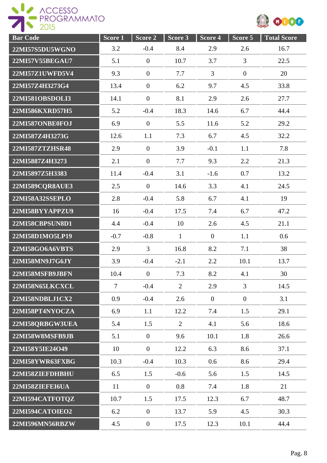

| <b>Bar Code</b> | Score 1 | Score 2          | Score 3        | Score 4        | Score 5        | <b>Total Score</b> |
|-----------------|---------|------------------|----------------|----------------|----------------|--------------------|
| 22MI57S5DU5WGNO | 3.2     | $-0.4$           | 8.4            | 2.9            | 2.6            | 16.7               |
| 22MI57V55BEGAU7 | 5.1     | $\mathbf{0}$     | 10.7           | 3.7            | $\overline{3}$ | 22.5               |
| 22MI57Z1UWFD5V4 | 9.3     | $\mathbf{0}$     | 7.7            | $\overline{3}$ | $\overline{0}$ | 20                 |
| 22MI57Z4H3273G4 | 13.4    | $\mathbf{0}$     | 6.2            | 9.7            | 4.5            | 33.8               |
| 22MI581OBSDOLI3 | 14.1    | $\overline{0}$   | 8.1            | 2.9            | 2.6            | 27.7               |
| 22MI586KXRD57H5 | 5.2     | $-0.4$           | 18.3           | 14.6           | 6.7            | 44.4               |
| 22MI587ONBE0FOJ | 6.9     | $\mathbf{0}$     | 5.5            | 11.6           | 5.2            | 29.2               |
| 22MI587Z4H3273G | 12.6    | 1.1              | 7.3            | 6.7            | 4.5            | 32.2               |
| 22MI587ZTZHSR48 | 2.9     | $\mathbf{0}$     | 3.9            | $-0.1$         | 1.1            | 7.8                |
| 22MI5887Z4H3273 | 2.1     | $\overline{0}$   | 7.7            | 9.3            | 2.2            | 21.3               |
| 22MI5897Z5H3383 | 11.4    | $-0.4$           | 3.1            | $-1.6$         | 0.7            | 13.2               |
| 22MI589CQR8AUE3 | 2.5     | $\mathbf{0}$     | 14.6           | 3.3            | 4.1            | 24.5               |
| 22MI58A32SSEPLO | 2.8     | $-0.4$           | 5.8            | 6.7            | 4.1            | 19                 |
| 22MI58BYYAPPZU9 | 16      | $-0.4$           | 17.5           | 7.4            | 6.7            | 47.2               |
| 22MI58CBPSUN8D1 | 4.4     | $-0.4$           | 10             | 2.6            | 4.5            | 21.1               |
| 22MI58D1MO5LP19 | $-0.7$  | $-0.8$           | $\mathbf{1}$   | $\overline{0}$ | 1.1            | 0.6                |
| 22MI58GO6A6VBTS | 2.9     | 3                | 16.8           | 8.2            | 7.1            | 38                 |
| 22MI58MN9J7G6JY | 3.9     | $-0.4$           | $-2.1$         | 2.2            | 10.1           | 13.7               |
| 22MI58MSFB9JBFN | 10.4    | $\boldsymbol{0}$ | 7.3            | 8.2            | 4.1            | 30                 |
| 22MI58N65LKCXCL | $\tau$  | $-0.4$           | $\overline{2}$ | 2.9            | 3              | 14.5               |
| 22MI58NDBLJ1CX2 | 0.9     | $-0.4$           | 2.6            | $\overline{0}$ | $\overline{0}$ | 3.1                |
| 22MI58PT4NYOCZA | 6.9     | 1.1              | 12.2           | 7.4            | 1.5            | 29.1               |
| 22MI58QRBGW3UEA | 5.4     | 1.5              | 2              | 4.1            | 5.6            | 18.6               |
| 22MI58W8MSFB9JB | 5.1     | $\mathbf{0}$     | 9.6            | 10.1           | 1.8            | 26.6               |
| 22MI58Y5IE24O49 | 10      | $\mathbf{0}$     | 12.2           | 6.3            | 8.6            | 37.1               |
| 22MI58YWR63FXBG | 10.3    | $-0.4$           | 10.3           | 0.6            | 8.6            | 29.4               |
| 22MI58ZIEFDHBHU | 6.5     | 1.5              | $-0.6$         | 5.6            | 1.5            | 14.5               |
| 22MI58ZIEFEI6UA | 11      | $\mathbf{0}$     | 0.8            | 7.4            | 1.8            | 21                 |
| 22MI594CATFOTQZ | 10.7    | 1.5              | 17.5           | 12.3           | 6.7            | 48.7               |
| 22MI594CATOIEO2 | 6.2     | $\mathbf{0}$     | 13.7           | 5.9            | 4.5            | 30.3               |
| 22MI596MN56RBZW | 4.5     | $\boldsymbol{0}$ | 17.5           | 12.3           | 10.1           | 44.4               |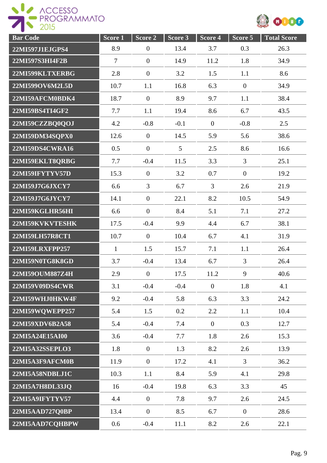

| <b>Bar Code</b>        | Score <sub>1</sub> | Score 2          | Score 3         | Score 4        | Score 5        | <b>Total Score</b> |
|------------------------|--------------------|------------------|-----------------|----------------|----------------|--------------------|
| 22MI597J1EJGPS4        | 8.9                | $\boldsymbol{0}$ | 13.4            | 3.7            | 0.3            | 26.3               |
| 22MI597S3HI4F2B        | $\overline{7}$     | $\boldsymbol{0}$ | 14.9            | 11.2           | 1.8            | 34.9               |
| 22MI599KLTXERBG        | 2.8                | $\overline{0}$   | 3.2             | 1.5            | 1.1            | 8.6                |
| 22MI599OV6M2L5D        | 10.7               | 1.1              | 16.8            | 6.3            | $\overline{0}$ | 34.9               |
| 22MI59AFCM0BDK4        | 18.7               | $\overline{0}$   | 8.9             | 9.7            | 1.1            | 38.4               |
| 22MI59BS4TI4GF2        | 7.7                | 1.1              | 19.4            | 8.6            | 6.7            | 43.5               |
| 22MI59CZZBQ0QOJ        | 4.2                | $-0.8$           | $-0.1$          | $\mathbf{0}$   | $-0.8$         | 2.5                |
| 22MI59DM34SQPX0        | 12.6               | $\boldsymbol{0}$ | 14.5            | 5.9            | 5.6            | 38.6               |
| 22MI59DS4CWRA16        | 0.5                | $\mathbf{0}$     | $5\overline{)}$ | 2.5            | 8.6            | 16.6               |
| 22MI59EKLT8QRBG        | 7.7                | $-0.4$           | 11.5            | 3.3            | $\overline{3}$ | 25.1               |
| 22MI59IFYTYV57D        | 15.3               | $\boldsymbol{0}$ | 3.2             | 0.7            | $\overline{0}$ | 19.2               |
| 22MI59J7G6JXCY7        | 6.6                | $\overline{3}$   | 6.7             | $\overline{3}$ | 2.6            | 21.9               |
| 22MI59J7G6JYCY7        | 14.1               | $\mathbf{0}$     | 22.1            | 8.2            | 10.5           | 54.9               |
| 22MI59KGLHR56HI        | 6.6                | $\boldsymbol{0}$ | 8.4             | 5.1            | 7.1            | 27.2               |
| 22MI59KVKVTESHK        | 17.5               | $-0.4$           | 9.9             | 4.4            | 6.7            | 38.1               |
| 22MI59LH57R8CT1        | 10.7               | $\boldsymbol{0}$ | 10.4            | 6.7            | 4.1            | 31.9               |
| 22MI59LRXFPP257        | $\mathbf{1}$       | 1.5              | 15.7            | 7.1            | 1.1            | 26.4               |
| 22MI59N0TG8K8GD        | 3.7                | $-0.4$           | 13.4            | 6.7            | $\overline{3}$ | 26.4               |
| 22MI59OUM887Z4H        | 2.9                | $\boldsymbol{0}$ | 17.5            | 11.2           | 9              | 40.6               |
| 22MI59V09DS4CWR        | 3.1                | $-0.4$           | $-0.4$          | $\overline{0}$ | 1.8            | 4.1                |
| 22MI59WHJ0HKW4F        | 9.2                | $-0.4$           | 5.8             | 6.3            | 3.3            | 24.2               |
| 22MI59WQWEPP257        | 5.4                | 1.5              | 0.2             | 2.2            | 1.1            | 10.4               |
| 22MI59XDV6B2A58        | 5.4                | $-0.4$           | 7.4             | $\overline{0}$ | 0.3            | 12.7               |
| 22MI5A24E15AI00        | 3.6                | $-0.4$           | 7.7             | 1.8            | 2.6            | 15.3               |
| <b>22MI5A32SSEPLO3</b> | 1.8                | $\overline{0}$   | 1.3             | 8.2            | 2.6            | 13.9               |
| 22MI5A3F9AFCM0B        | 11.9               | $\overline{0}$   | 17.2            | 4.1            | $\overline{3}$ | 36.2               |
| 22MI5A58NDBLJ1C        | 10.3               | 1.1              | 8.4             | 5.9            | 4.1            | 29.8               |
| 22MI5A7H8DL33JQ        | 16                 | $-0.4$           | 19.8            | 6.3            | 3.3            | 45                 |
| 22MI5A9IFYTYV57        | 4.4                | $\boldsymbol{0}$ | 7.8             | 9.7            | 2.6            | 24.5               |
| 22MI5AAD727Q0BP        | 13.4               | $\boldsymbol{0}$ | 8.5             | 6.7            | $\overline{0}$ | 28.6               |
| 22MI5AAD7CQHBPW        | 0.6                | $-0.4$           | 11.1            | 8.2            | 2.6            | 22.1               |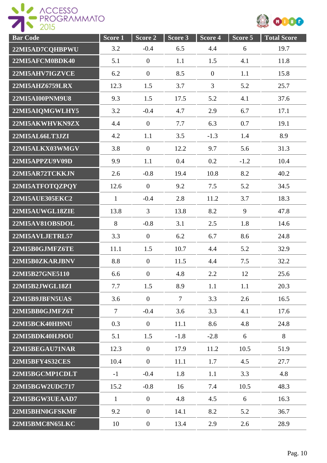ROGESSO



| <b>Bar</b> Code        | Score <sub>1</sub> | Score 2          | Score 3        | Score 4          | Score 5 | <b>Total Score</b> |
|------------------------|--------------------|------------------|----------------|------------------|---------|--------------------|
| 22MI5AD7CQHBPWU        | 3.2                | $-0.4$           | 6.5            | 4.4              | 6       | 19.7               |
| 22MI5AFCM0BDK40        | 5.1                | $\boldsymbol{0}$ | 1.1            | 1.5              | 4.1     | 11.8               |
| 22MI5AHV7IGZVCE        | 6.2                | $\overline{0}$   | 8.5            | $\boldsymbol{0}$ | 1.1     | 15.8               |
| 22MI5AHZ6759LRX        | 12.3               | 1.5              | 3.7            | $\overline{3}$   | 5.2     | 25.7               |
| 22MI5AI00PNM9U8        | 9.3                | 1.5              | 17.5           | 5.2              | 4.1     | 37.6               |
| 22MI5AIQMGWLHY5        | 3.2                | $-0.4$           | 4.7            | 2.9              | 6.7     | 17.1               |
| 22MI5AKWHVKN9ZX        | 4.4                | $\boldsymbol{0}$ | 7.7            | 6.3              | 0.7     | 19.1               |
| 22MI5AL66LT3JZI        | 4.2                | 1.1              | 3.5            | $-1.3$           | 1.4     | 8.9                |
| 22MI5ALKX03WMGV        | 3.8                | $\boldsymbol{0}$ | 12.2           | 9.7              | 5.6     | 31.3               |
| 22MI5APPZU9V09D        | 9.9                | 1.1              | 0.4            | 0.2              | $-1.2$  | 10.4               |
| 22MI5AR72TCKKJN        | 2.6                | $-0.8$           | 19.4           | 10.8             | 8.2     | 40.2               |
| 22MI5ATFOTQZPQY        | 12.6               | $\boldsymbol{0}$ | 9.2            | 7.5              | 5.2     | 34.5               |
| <b>22MI5AUE305EKC2</b> | $\mathbf{1}$       | $-0.4$           | 2.8            | 11.2             | 3.7     | 18.3               |
| 22MI5AUWGL18ZIE        | 13.8               | $\overline{3}$   | 13.8           | 8.2              | 9       | 47.8               |
| 22MI5AV81OBSDOL        | 8                  | $-0.8$           | 3.1            | 2.5              | 1.8     | 14.6               |
| 22MI5AVLJETRL57        | 3.3                | $\boldsymbol{0}$ | 6.2            | 6.7              | 8.6     | 24.8               |
| 22MI5B0GJMFZ6TE        | 11.1               | 1.5              | 10.7           | 4.4              | 5.2     | 32.9               |
| 22MI5B0ZKARJBNV        | 8.8                | $\theta$         | 11.5           | 4.4              | 7.5     | 32.2               |
| 22MI5B27GNE5110        | 6.6                | $\boldsymbol{0}$ | 4.8            | 2.2              | 12      | 25.6               |
| 22MI5B2JWGL18ZI        | 7.7                | 1.5              | 8.9            | 1.1              | 1.1     | 20.3               |
| 22MI5B9JBFN5UAS        | 3.6                | $\boldsymbol{0}$ | $\overline{7}$ | 3.3              | 2.6     | 16.5               |
| 22MI5BB0GJMFZ6T        | $\tau$             | $-0.4$           | 3.6            | 3.3              | 4.1     | 17.6               |
| 22MI5BCK40HI9NU        | 0.3                | $\overline{0}$   | 11.1           | 8.6              | 4.8     | 24.8               |
| 22MI5BDK40HJ9OU        | 5.1                | 1.5              | $-1.8$         | $-2.8$           | 6       | 8                  |
| 22MI5BEGAU71NAR        | 12.3               | $\overline{0}$   | 17.9           | 11.2             | 10.5    | 51.9               |
| 22MI5BFY4S32CES        | 10.4               | $\overline{0}$   | 11.1           | 1.7              | 4.5     | 27.7               |
| 22MI5BGCMP1CDLT        | $-1$               | $-0.4$           | 1.8            | 1.1              | 3.3     | 4.8                |
| 22MI5BGW2UDC717        | 15.2               | $-0.8$           | 16             | 7.4              | 10.5    | 48.3               |
| 22MI5BGW3UEAAD7        | $\mathbf{1}$       | $\overline{0}$   | 4.8            | 4.5              | 6       | 16.3               |
| 22MI5BHN0GFSKMF        | 9.2                | $\overline{0}$   | 14.1           | 8.2              | 5.2     | 36.7               |
| 22MI5BMC8N65LKC        | 10                 | $\boldsymbol{0}$ | 13.4           | 2.9              | 2.6     | 28.9               |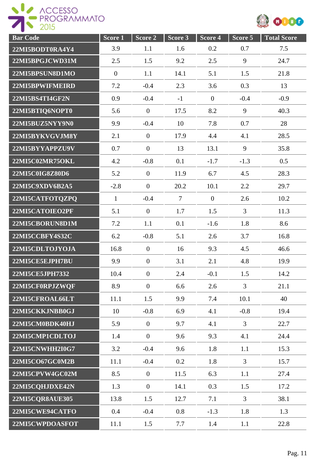



| <b>Bar Code</b>        | Score <sub>1</sub> | Score 2          | Score 3        | Score 4        | Score 5        | <b>Total Score</b> |
|------------------------|--------------------|------------------|----------------|----------------|----------------|--------------------|
| 22MI5BODT0RA4Y4        | 3.9                | 1.1              | 1.6            | 0.2            | 0.7            | 7.5                |
| 22MI5BPGJCWD31M        | 2.5                | 1.5              | 9.2            | 2.5            | 9              | 24.7               |
| 22MI5BPSUN8D1MO        | $\mathbf{0}$       | 1.1              | 14.1           | 5.1            | 1.5            | 21.8               |
| 22MI5BPWIFMEIRD        | 7.2                | $-0.4$           | 2.3            | 3.6            | 0.3            | 13                 |
| 22MI5BS4TI4GF2N        | 0.9                | $-0.4$           | $-1$           | $\overline{0}$ | $-0.4$         | $-0.9$             |
| 22MI5BTIQ6NOPT0        | 5.6                | $\overline{0}$   | 17.5           | 8.2            | 9              | 40.3               |
| 22MI5BUZ5NYY9N0        | 9.9                | $-0.4$           | 10             | 7.8            | 0.7            | 28                 |
| 22MI5BYKVGVJM8Y        | 2.1                | $\mathbf{0}$     | 17.9           | 4.4            | 4.1            | 28.5               |
| 22MI5BYYAPPZU9V        | 0.7                | $\mathbf{0}$     | 13             | 13.1           | 9              | 35.8               |
| 22MI5C02MR75OKL        | 4.2                | $-0.8$           | 0.1            | $-1.7$         | $-1.3$         | 0.5                |
| 22MI5C0IG8Z80D6        | 5.2                | $\overline{0}$   | 11.9           | 6.7            | 4.5            | 28.3               |
| 22MI5C9XDV6B2A5        | $-2.8$             | $\overline{0}$   | 20.2           | 10.1           | 2.2            | 29.7               |
| 22MI5CATFOTQZPQ        | $\mathbf{1}$       | $-0.4$           | $\overline{7}$ | $\overline{0}$ | 2.6            | 10.2               |
| 22MI5CATOIEO2PF        | 5.1                | $\mathbf{0}$     | 1.7            | 1.5            | $\overline{3}$ | 11.3               |
| 22MI5CBORUN8D1M        | 7.2                | 1.1              | 0.1            | $-1.6$         | 1.8            | 8.6                |
| 22MI5CCBFY4S32C        | 6.2                | $-0.8$           | 5.1            | 2.6            | 3.7            | 16.8               |
| 22MI5CDLTOJYOJA        | 16.8               | $\overline{0}$   | 16             | 9.3            | 4.5            | 46.6               |
| 22MI5CE5EJPH7BU        | 9.9                | $\mathbf{0}$     | 3.1            | 2.1            | 4.8            | 19.9               |
| 22MI5CE5JPH7332        | 10.4               | $\boldsymbol{0}$ | 2.4            | $-0.1$         | 1.5            | 14.2               |
| 22MI5CF0RPJZWQF        | 8.9                | $\overline{0}$   | 6.6            | 2.6            | $\overline{3}$ | 21.1               |
| 22MI5CFROAL66LT        | 11.1               | 1.5              | 9.9            | 7.4            | 10.1           | 40                 |
| 22MI5CKKJNBB0GJ        | 10                 | $-0.8$           | 6.9            | 4.1            | $-0.8$         | 19.4               |
| 22MI5CM0BDK40HJ        | 5.9                | $\mathbf{0}$     | 9.7            | 4.1            | $\overline{3}$ | 22.7               |
| 22MI5CMP1CDLTOJ        | 1.4                | $\mathbf{0}$     | 9.6            | 9.3            | 4.1            | 24.4               |
| <b>22MI5CNWHH2I0G7</b> | 3.2                | $-0.4$           | 9.6            | 1.8            | 1.1            | 15.3               |
| 22MI5CO67GC0M2B        | 11.1               | $-0.4$           | 0.2            | 1.8            | $\overline{3}$ | 15.7               |
| 22MI5CPVW4GC02M        | 8.5                | $\overline{0}$   | 11.5           | 6.3            | 1.1            | 27.4               |
| 22MI5CQHJDXE42N        | 1.3                | $\overline{0}$   | 14.1           | 0.3            | 1.5            | 17.2               |
| 22MI5CQR8AUE305        | 13.8               | 1.5              | 12.7           | 7.1            | $\overline{3}$ | 38.1               |
| 22MI5CWE94CATFO        | 0.4                | $-0.4$           | 0.8            | $-1.3$         | 1.8            | 1.3                |
| 22MI5CWPDOASFOT        | 11.1               | 1.5              | 7.7            | 1.4            | 1.1            | 22.8               |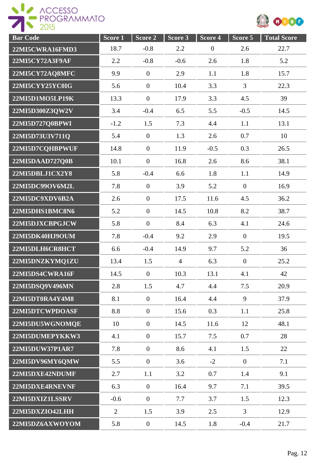



| <b>Bar Code</b> | Score 1        | Score 2          | Score 3        | Score 4          | Score 5        | <b>Total Score</b> |
|-----------------|----------------|------------------|----------------|------------------|----------------|--------------------|
| 22MI5CWRA16FMD3 | 18.7           | $-0.8$           | 2.2            | $\boldsymbol{0}$ | 2.6            | 22.7               |
| 22MI5CY72A3F9AF | 2.2            | $-0.8$           | $-0.6$         | 2.6              | 1.8            | 5.2                |
| 22MI5CY72AQ8MFC | 9.9            | $\boldsymbol{0}$ | 2.9            | 1.1              | 1.8            | 15.7               |
| 22MI5CYY25YC0IG | 5.6            | $\boldsymbol{0}$ | 10.4           | 3.3              | $\overline{3}$ | 22.3               |
| 22MI5D1MO5LP19K | 13.3           | $\boldsymbol{0}$ | 17.9           | 3.3              | 4.5            | 39                 |
| 22MI5D300Z3QW2V | 3.4            | $-0.4$           | 6.5            | 5.5              | $-0.5$         | 14.5               |
| 22MI5D727Q0BPWI | $-1.2$         | 1.5              | 7.3            | 4.4              | 1.1            | 13.1               |
| 22MI5D73U3V711Q | 5.4            | $\overline{0}$   | 1.3            | 2.6              | 0.7            | 10                 |
| 22MI5D7CQHBPWUF | 14.8           | $\boldsymbol{0}$ | 11.9           | $-0.5$           | 0.3            | 26.5               |
| 22MI5DAAD727Q0B | 10.1           | $\mathbf{0}$     | 16.8           | 2.6              | 8.6            | 38.1               |
| 22MI5DBLJ1CX2Y8 | 5.8            | $-0.4$           | 6.6            | 1.8              | 1.1            | 14.9               |
| 22MI5DC99OV6M2L | 7.8            | $\mathbf{0}$     | 3.9            | 5.2              | $\overline{0}$ | 16.9               |
| 22MI5DC9XDV6B2A | 2.6            | $\mathbf{0}$     | 17.5           | 11.6             | 4.5            | 36.2               |
| 22MI5DHS1BMC8N6 | 5.2            | $\boldsymbol{0}$ | 14.5           | 10.8             | 8.2            | 38.7               |
| 22MI5DJXCBPGJCW | 5.8            | $\overline{0}$   | 8.4            | 6.3              | 4.1            | 24.6               |
| 22MI5DK40HJ9OUM | 7.8            | $-0.4$           | 9.2            | 2.9              | $\overline{0}$ | 19.5               |
| 22MI5DLH6CR8HCT | 6.6            | $-0.4$           | 14.9           | 9.7              | 5.2            | 36                 |
| 22MI5DNZKYMQ1ZU | 13.4           | 1.5              | $\overline{4}$ | 6.3              | $\overline{0}$ | 25.2               |
| 22MI5DS4CWRA16F | 14.5           | $\boldsymbol{0}$ | 10.3           | 13.1             | 4.1            | 42                 |
| 22MI5DSQ9V496MN | 2.8            | 1.5              | 4.7            | 4.4              | 7.5            | 20.9               |
| 22MI5DT0RA4Y4M8 | 8.1            | $\boldsymbol{0}$ | 16.4           | 4.4              | 9              | 37.9               |
| 22MI5DTCWPDOASF | 8.8            | $\overline{0}$   | 15.6           | 0.3              | 1.1            | 25.8               |
| 22MI5DU5WGNOMQE | 10             | $\boldsymbol{0}$ | 14.5           | 11.6             | 12             | 48.1               |
| 22MI5DUMEPYKKW3 | 4.1            | $\overline{0}$   | 15.7           | 7.5              | 0.7            | 28                 |
| 22MI5DUW37P1AR7 | 7.8            | $\overline{0}$   | 8.6            | 4.1              | 1.5            | 22                 |
| 22MI5DV96MY6QMW | 5.5            | $\overline{0}$   | 3.6            | $-2$             | $\overline{0}$ | 7.1                |
| 22MI5DXE42NDUMF | 2.7            | 1.1              | 3.2            | 0.7              | 1.4            | 9.1                |
| 22MI5DXE4RNEVNF | 6.3            | $\overline{0}$   | 16.4           | 9.7              | 7.1            | 39.5               |
| 22MI5DXIZ1LSSRV | $-0.6$         | $\boldsymbol{0}$ | 7.7            | 3.7              | 1.5            | 12.3               |
| 22MI5DXZIO42LHH | $\overline{2}$ | 1.5              | 3.9            | 2.5              | 3              | 12.9               |
| 22MI5DZ6AXWOYOM | 5.8            | $\boldsymbol{0}$ | 14.5           | 1.8              | $-0.4$         | 21.7               |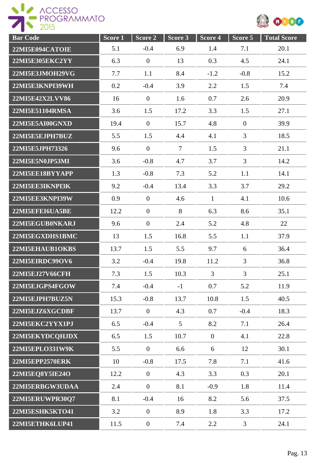



| <b>Bar Code</b>        | Score 1 | Score 2          | Score 3         | Score 4        | Score 5        | <b>Total Score</b> |
|------------------------|---------|------------------|-----------------|----------------|----------------|--------------------|
| 22MI5E094CATOIE        | 5.1     | $-0.4$           | 6.9             | 1.4            | 7.1            | 20.1               |
| <b>22MI5E305EKC2YY</b> | 6.3     | $\overline{0}$   | 13              | 0.3            | 4.5            | 24.1               |
| 22MI5E3JMOH29VG        | 7.7     | 1.1              | 8.4             | $-1.2$         | $-0.8$         | 15.2               |
| 22MI5E3KNPI39WH        | 0.2     | $-0.4$           | 3.9             | 2.2            | 1.5            | 7.4                |
| 22MI5E42X2LVV86        | 16      | $\overline{0}$   | 1.6             | 0.7            | 2.6            | 20.9               |
| 22MI5E51104RMSA        | 3.6     | 1.5              | 17.2            | 3.3            | 1.5            | 27.1               |
| 22MI5E5AI00GNXD        | 19.4    | $\theta$         | 15.7            | 4.8            | $\overline{0}$ | 39.9               |
| 22MI5E5EJPH7BUZ        | 5.5     | 1.5              | 4.4             | 4.1            | $\overline{3}$ | 18.5               |
| 22MI5E5JPH73326        | 9.6     | $\overline{0}$   | $\overline{7}$  | 1.5            | 3              | 21.1               |
| 22MI5E5N0JP53MI        | 3.6     | $-0.8$           | 4.7             | 3.7            | 3              | 14.2               |
| 22MI5EE18BYYAPP        | 1.3     | $-0.8$           | 7.3             | 5.2            | 1.1            | 14.1               |
| 22MI5EE3IKNPI3K        | 9.2     | $-0.4$           | 13.4            | 3.3            | 3.7            | 29.2               |
| 22MI5EE3KNPI39W        | 0.9     | $\overline{0}$   | 4.6             | $\mathbf{1}$   | 4.1            | 10.6               |
| 22MI5EFEI6UA5BE        | 12.2    | $\overline{0}$   | 8               | 6.3            | 8.6            | 35.1               |
| 22MI5EGUB0NKARJ        | 9.6     | $\boldsymbol{0}$ | 2.4             | 5.2            | 4.8            | 22                 |
| 22MI5EGXDHS1BMC        | 13      | 1.5              | 16.8            | 5.5            | 1.1            | 37.9               |
| 22MI5EHAUB1OKBS        | 13.7    | 1.5              | 5.5             | 9.7            | 6              | 36.4               |
| 22MI5EIRDC99OV6        | 3.2     | $-0.4$           | 19.8            | 11.2           | $\overline{3}$ | 36.8               |
| <b>22MI5EJ27V66CFH</b> | 7.3     | 1.5              | 10.3            | 3              | 3              | 25.1               |
| 22MI5EJGPS4FGOW        | 7.4     | $-0.4$           | $-1$            | 0.7            | 5.2            | 11.9               |
| 22MI5EJPH7BUZ5N        | 15.3    | $-0.8$           | 13.7            | 10.8           | 1.5            | 40.5               |
| 22MI5EJZ6XGCDBF        | 13.7    | $\overline{0}$   | 4.3             | 0.7            | $-0.4$         | 18.3               |
| 22MI5EKC2YYX1PJ        | 6.5     | $-0.4$           | $5\overline{)}$ | 8.2            | 7.1            | 26.4               |
| 22MI5EKYDCQHJDX        | 6.5     | 1.5              | 10.7            | $\overline{0}$ | 4.1            | 22.8               |
| 22MI5EPLO331W9K        | 5.5     | $\boldsymbol{0}$ | 6.6             | 6              | 12             | 30.1               |
| 22MI5EPP2570ERK        | 10      | $-0.8$           | 17.5            | 7.8            | 7.1            | 41.6               |
| 22MI5EQ8Y5IE24O        | 12.2    | $\overline{0}$   | 4.3             | 3.3            | 0.3            | 20.1               |
| 22MI5ERBGW3UDAA        | 2.4     | $\boldsymbol{0}$ | 8.1             | $-0.9$         | 1.8            | 11.4               |
| 22MI5ERUWPR30Q7        | 8.1     | $-0.4$           | 16              | 8.2            | 5.6            | 37.5               |
| 22MI5ESHK5KTO41        | 3.2     | $\boldsymbol{0}$ | 8.9             | 1.8            | 3.3            | 17.2               |
| 22MI5ETHK6LUP41        | 11.5    | $\boldsymbol{0}$ | 7.4             | $2.2^{\circ}$  | $\mathfrak{Z}$ | 24.1               |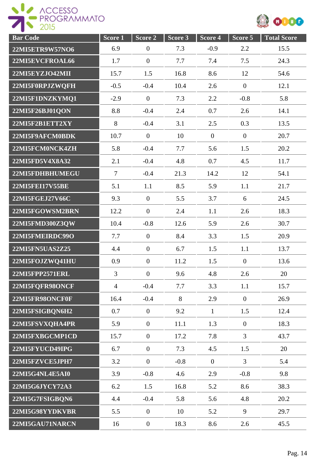

| <b>Bar Code</b>        | Score <sub>1</sub> | Score 2          | Score 3 | Score 4        | Score 5        | <b>Total Score</b> |
|------------------------|--------------------|------------------|---------|----------------|----------------|--------------------|
| 22MI5ETR9W57NO6        | 6.9                | $\boldsymbol{0}$ | 7.3     | $-0.9$         | 2.2            | 15.5               |
| 22MI5EVCFROAL66        | 1.7                | $\mathbf{0}$     | 7.7     | 7.4            | 7.5            | 24.3               |
| 22MI5EYZJO42MII        | 15.7               | 1.5              | 16.8    | 8.6            | 12             | 54.6               |
| 22MI5F0RPJZWQFH        | $-0.5$             | $-0.4$           | 10.4    | 2.6            | $\overline{0}$ | 12.1               |
| 22MI5F1DNZKYMQ1        | $-2.9$             | $\overline{0}$   | 7.3     | 2.2            | $-0.8$         | 5.8                |
| 22MI5F26BJ01QON        | 8.8                | $-0.4$           | 2.4     | 0.7            | 2.6            | 14.1               |
| 22MI5F2B1ETT2XY        | 8                  | $-0.4$           | 3.1     | 2.5            | 0.3            | 13.5               |
| 22MI5F9AFCM0BDK        | 10.7               | $\mathbf{0}$     | 10      | $\overline{0}$ | $\overline{0}$ | 20.7               |
| 22MI5FCM0NCK4ZH        | 5.8                | $-0.4$           | 7.7     | 5.6            | 1.5            | 20.2               |
| 22MI5FD5V4X8A32        | 2.1                | $-0.4$           | 4.8     | 0.7            | 4.5            | 11.7               |
| 22MI5FDHBHUMEGU        | $\overline{7}$     | $-0.4$           | 21.3    | 14.2           | 12             | 54.1               |
| <b>22MI5FEI17V55BE</b> | 5.1                | 1.1              | 8.5     | 5.9            | 1.1            | 21.7               |
| 22MI5FGEJ27V66C        | 9.3                | $\mathbf{0}$     | 5.5     | 3.7            | 6              | 24.5               |
| 22MI5FGOWSM2BRN        | 12.2               | $\overline{0}$   | 2.4     | 1.1            | 2.6            | 18.3               |
| 22MI5FMD300Z3QW        | 10.4               | $-0.8$           | 12.6    | 5.9            | 2.6            | 30.7               |
| 22MI5FMEIRDC99O        | 7.7                | $\overline{0}$   | 8.4     | 3.3            | 1.5            | 20.9               |
| 22MI5FN5UAS2Z25        | 4.4                | $\boldsymbol{0}$ | 6.7     | 1.5            | 1.1            | 13.7               |
| 22MI5FOJZWQ41HU        | 0.9                | $\mathbf{0}$     | 11.2    | 1.5            | $\overline{0}$ | 13.6               |
| 22MI5FPP2571ERL        | 3                  | $\overline{0}$   | 9.6     | 4.8            | 2.6            | 20                 |
| 22MI5FQFR98ONCF        | $\overline{4}$     | $-0.4$           | 7.7     | 3.3            | 1.1            | 15.7               |
| 22MI5FR98ONCF0F        | 16.4               | $-0.4$           | 8       | 2.9            | $\overline{0}$ | 26.9               |
| 22MI5FSIGBQN6H2        | 0.7                | $\overline{0}$   | 9.2     | $\mathbf{1}$   | 1.5            | 12.4               |
| 22MI5FSVXQHA4PR        | 5.9                | $\mathbf{0}$     | 11.1    | 1.3            | $\overline{0}$ | 18.3               |
| 22MI5FXBGCMP1CD        | 15.7               | $\overline{0}$   | 17.2    | 7.8            | $\overline{3}$ | 43.7               |
| 22MI5FYUCD49IPG        | 6.7                | $\overline{0}$   | 7.3     | 4.5            | 1.5            | 20                 |
| 22MI5FZVCE5JPH7        | 3.2                | $\mathbf{0}$     | $-0.8$  | $\overline{0}$ | $\overline{3}$ | 5.4                |
| <b>22MI5G4NL4E5AI0</b> | 3.9                | $-0.8$           | 4.6     | 2.9            | $-0.8$         | 9.8                |
| 22MI5G6JYCY72A3        | 6.2                | 1.5              | 16.8    | 5.2            | 8.6            | 38.3               |
| 22MI5G7FSIGBQN6        | 4.4                | $-0.4$           | 5.8     | 5.6            | 4.8            | 20.2               |
| 22MI5G98YYDKVBR        | 5.5                | $\mathbf{0}$     | 10      | 5.2            | 9              | 29.7               |
| 22MI5GAU71NARCN        | 16                 | $\boldsymbol{0}$ | 18.3    | 8.6            | 2.6            | 45.5               |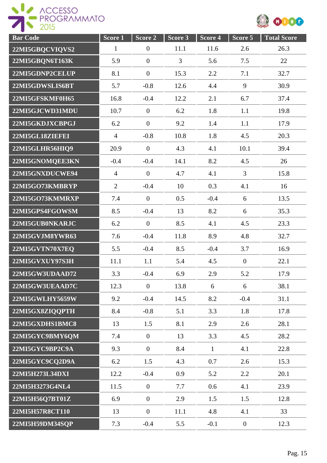



| <b>Bar Code</b> | $Score$ <sup>1</sup> | Score <sub>2</sub> | Score <sub>3</sub> | Score 4      | Score 5        | <b>Total Score</b> |
|-----------------|----------------------|--------------------|--------------------|--------------|----------------|--------------------|
| 22MI5GBQCVIQVS2 | $\mathbf{1}$         | $\boldsymbol{0}$   | 11.1               | 11.6         | 2.6            | 26.3               |
| 22MI5GBQN6T163K | 5.9                  | $\overline{0}$     | 3                  | 5.6          | 7.5            | 22                 |
| 22MI5GDNP2CELUP | 8.1                  | $\overline{0}$     | 15.3               | 2.2          | 7.1            | 32.7               |
| 22MI5GDWSLIS6BT | 5.7                  | $-0.8$             | 12.6               | 4.4          | 9              | 30.9               |
| 22MI5GFSKMF0H65 | 16.8                 | $-0.4$             | 12.2               | 2.1          | 6.7            | 37.4               |
| 22MI5GJCWD31MDU | 10.7                 | $\overline{0}$     | 6.2                | 1.8          | 1.1            | 19.8               |
| 22MI5GKDJXCBPGJ | 6.2                  | $\boldsymbol{0}$   | 9.2                | 1.4          | 1.1            | 17.9               |
| 22MI5GL18ZIEFEI | $\overline{4}$       | $-0.8$             | 10.8               | 1.8          | 4.5            | 20.3               |
| 22MI5GLHR56HIQ9 | 20.9                 | $\overline{0}$     | 4.3                | 4.1          | 10.1           | 39.4               |
| 22MI5GNOMQEE3KN | $-0.4$               | $-0.4$             | 14.1               | 8.2          | 4.5            | 26                 |
| 22MI5GNXDUCWE94 | $\overline{4}$       | $\boldsymbol{0}$   | 4.7                | 4.1          | 3              | 15.8               |
| 22MI5GO73KMBRYP | $\overline{2}$       | $-0.4$             | 10                 | 0.3          | 4.1            | 16                 |
| 22MI5GO73KMMRXP | 7.4                  | $\mathbf{0}$       | 0.5                | $-0.4$       | 6              | 13.5               |
| 22MI5GPS4FGOWSM | 8.5                  | $-0.4$             | 13                 | 8.2          | 6              | 35.3               |
| 22MI5GUB0NKARJC | 6.2                  | $\boldsymbol{0}$   | 8.5                | 4.1          | 4.5            | 23.3               |
| 22MI5GVJM8YWR63 | 7.6                  | $-0.4$             | 11.8               | 8.9          | 4.8            | 32.7               |
| 22MI5GVTN70X7EQ | 5.5                  | $-0.4$             | 8.5                | $-0.4$       | 3.7            | 16.9               |
| 22MI5GVXUY97S3H | 11.1                 | 1.1                | 5.4                | 4.5          | $\overline{0}$ | 22.1               |
| 22MI5GW3UDAAD72 | 3.3                  | $-0.4$             | 6.9                | 2.9          | 5.2            | 17.9               |
| 22MI5GW3UEAAD7C | 12.3                 | $\overline{0}$     | 13.8               | 6            | 6              | 38.1               |
| 22MI5GWLHY5659W | 9.2                  | $-0.4$             | 14.5               | 8.2          | $-0.4$         | 31.1               |
| 22MI5GX8ZIQQPTH | 8.4                  | $-0.8$             | 5.1                | 3.3          | 1.8            | 17.8               |
| 22MI5GXDHS1BMC8 | 13                   | 1.5                | 8.1                | 2.9          | 2.6            | 28.1               |
| 22MI5GYC9BMY6QM | 7.4                  | $\mathbf{0}$       | 13                 | 3.3          | 4.5            | 28.2               |
| 22MI5GYC9BP2C9A | 9.3                  | $\overline{0}$     | 8.4                | $\mathbf{1}$ | 4.1            | 22.8               |
| 22MI5GYC9CQ2D9A | 6.2                  | 1.5                | 4.3                | 0.7          | 2.6            | 15.3               |
| 22MI5H273L34DXI | 12.2                 | $-0.4$             | 0.9                | 5.2          | 2.2            | 20.1               |
| 22MI5H3273G4NL4 | 11.5                 | $\boldsymbol{0}$   | 7.7                | 0.6          | 4.1            | 23.9               |
| 22MI5H56Q7BT01Z | 6.9                  | $\boldsymbol{0}$   | 2.9                | 1.5          | 1.5            | 12.8               |
| 22MI5H57R8CT110 | 13                   | $\boldsymbol{0}$   | 11.1               | 4.8          | 4.1            | 33                 |
| 22MI5H59DM34SQP | 7.3                  | $-0.4$             | 5.5                | $-0.1$       | $\overline{0}$ | 12.3               |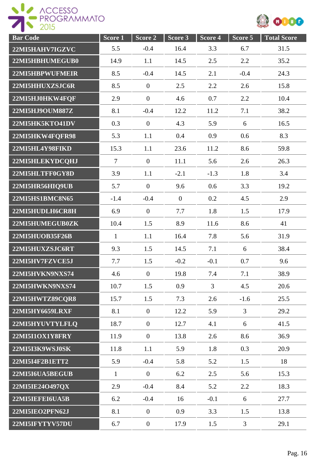



| <b>Bar Code</b>        | Score <sub>1</sub> | Score 2          | Score 3      | Score 4        | Score 5        | <b>Total Score</b> |
|------------------------|--------------------|------------------|--------------|----------------|----------------|--------------------|
| 22MI5HAHV7IGZVC        | 5.5                | $-0.4$           | 16.4         | 3.3            | 6.7            | 31.5               |
| 22MI5HBHUMEGUB0        | 14.9               | 1.1              | 14.5         | 2.5            | 2.2            | 35.2               |
| 22MI5HBPWUFMEIR        | 8.5                | $-0.4$           | 14.5         | 2.1            | $-0.4$         | 24.3               |
| 22MI5HHUXZSJC6R        | 8.5                | $\overline{0}$   | 2.5          | 2.2            | 2.6            | 15.8               |
| 22MI5HJ0HKW4FQF        | 2.9                | $\boldsymbol{0}$ | 4.6          | 0.7            | 2.2            | 10.4               |
| 22MI5HJ9OUM887Z        | 8.1                | $-0.4$           | 12.2         | 11.2           | 7.1            | 38.2               |
| 22MI5HK5KTO41DV        | 0.3                | $\overline{0}$   | 4.3          | 5.9            | 6              | 16.5               |
| 22MI5HKW4FQFR98        | 5.3                | 1.1              | 0.4          | 0.9            | 0.6            | 8.3                |
| 22MI5HL4Y98FIKD        | 15.3               | 1.1              | 23.6         | 11.2           | 8.6            | 59.8               |
| 22MI5HLEKYDCQHJ        | $\tau$             | $\overline{0}$   | 11.1         | 5.6            | 2.6            | 26.3               |
| 22MI5HLTFF0GY8D        | 3.9                | 1.1              | $-2.1$       | $-1.3$         | 1.8            | 3.4                |
| 22MI5HR56HIQ9UB        | 5.7                | $\mathbf{0}$     | 9.6          | 0.6            | 3.3            | 19.2               |
| 22MI5HS1BMC8N65        | $-1.4$             | $-0.4$           | $\mathbf{0}$ | 0.2            | 4.5            | 2.9                |
| 22MI5HUDLH6CR8H        | 6.9                | $\overline{0}$   | 7.7          | 1.8            | 1.5            | 17.9               |
| 22MI5HUMEGUB0ZK        | 10.4               | 1.5              | 8.9          | 11.6           | 8.6            | 41                 |
| 22MI5HUOB35F26B        | $\mathbf{1}$       | 1.1              | 16.4         | 7.8            | 5.6            | 31.9               |
| 22MI5HUXZSJC6RT        | 9.3                | 1.5              | 14.5         | 7.1            | 6              | 38.4               |
| 22MI5HV7FZVCE5J        | 7.7                | 1.5              | $-0.2$       | $-0.1$         | 0.7            | 9.6                |
| 22MI5HVKN9NXS74        | 4.6                | $\mathbf{0}$     | 19.8         | 7.4            | 7.1            | 38.9               |
| 22MI5HWKN9NXS74        | 10.7               | 1.5              | 0.9          | $\overline{3}$ | 4.5            | 20.6               |
| 22MI5HWTZ89CQR8        | 15.7               | 1.5              | 7.3          | 2.6            | $-1.6$         | 25.5               |
| <b>22MI5HY6659LRXF</b> | 8.1                | $\mathbf{0}$     | 12.2         | 5.9            | $\overline{3}$ | 29.2               |
| 22MI5HYUVTYLFLQ        | 18.7               | $\overline{0}$   | 12.7         | 4.1            | 6              | 41.5               |
| 22MI5I1OX1Y8FRY        | 11.9               | $\overline{0}$   | 13.8         | 2.6            | 8.6            | 36.9               |
| 22MI5I3K9WSJ0SK        | 11.8               | 1.1              | 5.9          | 1.8            | 0.3            | 20.9               |
| 22MI5I4F2B1ETT2        | 5.9                | $-0.4$           | 5.8          | 5.2            | 1.5            | 18                 |
| 22MI5I6UA5BEGUB        | $\mathbf{1}$       | $\overline{0}$   | 6.2          | 2.5            | 5.6            | 15.3               |
| 22MI5IE24O497QX        | 2.9                | $-0.4$           | 8.4          | 5.2            | 2.2            | 18.3               |
| 22MI5IEFEI6UA5B        | 6.2                | $-0.4$           | 16           | $-0.1$         | 6              | 27.7               |
| 22MI5IEO2PFN62J        | 8.1                | $\boldsymbol{0}$ | 0.9          | 3.3            | 1.5            | 13.8               |
| 22MI5IFYTYV57DU        | 6.7                | $\boldsymbol{0}$ | 17.9         | 1.5            | $\overline{3}$ | 29.1               |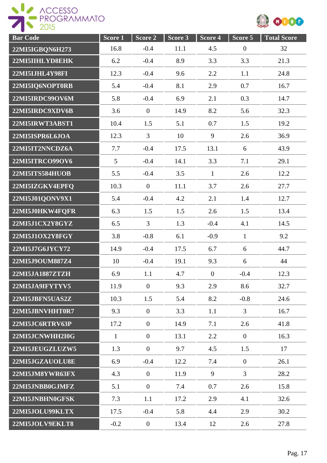



| <b>Bar Code</b> | Score 1      | Score 2          | Score 3 | Score 4        | Score 5          | <b>Total Score</b> |
|-----------------|--------------|------------------|---------|----------------|------------------|--------------------|
| 22MI5IGBQN6H273 | 16.8         | $-0.4$           | 11.1    | 4.5            | $\boldsymbol{0}$ | 32                 |
| 22MI5IIHLYD8EHK | 6.2          | $-0.4$           | 8.9     | 3.3            | 3.3              | 21.3               |
| 22MI5IJHL4Y98FI | 12.3         | $-0.4$           | 9.6     | 2.2            | 1.1              | 24.8               |
| 22MI5IQ6NOPT0RB | 5.4          | $-0.4$           | 8.1     | 2.9            | 0.7              | 16.7               |
| 22MI5IRDC99OV6M | 5.8          | $-0.4$           | 6.9     | 2.1            | 0.3              | 14.7               |
| 22MI5IRDC9XDV6B | 3.6          | $\mathbf{0}$     | 14.9    | 8.2            | 5.6              | 32.3               |
| 22MI5IRWT3ABST1 | 10.4         | 1.5              | 5.1     | 0.7            | 1.5              | 19.2               |
| 22MI5ISPR6L6JOA | 12.3         | $\overline{3}$   | 10      | 9              | 2.6              | 36.9               |
| 22MI5IT2NNCDZ6A | 7.7          | $-0.4$           | 17.5    | 13.1           | 6                | 43.9               |
| 22MI5ITRCO99OV6 | 5            | $-0.4$           | 14.1    | 3.3            | 7.1              | 29.1               |
| 22MI5ITS584HUOB | 5.5          | $-0.4$           | 3.5     | $\mathbf{1}$   | 2.6              | 12.2               |
| 22MI5IZGKV4EPFQ | 10.3         | $\mathbf{0}$     | 11.1    | 3.7            | 2.6              | 27.7               |
| 22MI5J01QONV9X1 | 5.4          | $-0.4$           | 4.2     | 2.1            | 1.4              | 12.7               |
| 22MI5J0HKW4FQFR | 6.3          | 1.5              | 1.5     | 2.6            | 1.5              | 13.4               |
| 22MI5J1CX2Y8GYZ | 6.5          | 3                | 1.3     | $-0.4$         | 4.1              | 14.5               |
| 22MI5J1OX2Y8FGY | 3.8          | $-0.8$           | 6.1     | $-0.9$         | $\mathbf{1}$     | 9.2                |
| 22MI5J7G6JYCY72 | 14.9         | $-0.4$           | 17.5    | 6.7            | 6                | 44.7               |
| 22MI5J9OUM887Z4 | 10           | $-0.4$           | 19.1    | 9.3            | 6                | 44                 |
| 22MI5JA1887ZTZH | 6.9          | 1.1              | 4.7     | $\overline{0}$ | $-0.4$           | 12.3               |
| 22MI5JA9IFYTYV5 | 11.9         | $\mathbf{0}$     | 9.3     | 2.9            | 8.6              | 32.7               |
| 22MI5JBFN5UAS2Z | 10.3         | 1.5              | 5.4     | 8.2            | $-0.8$           | 24.6               |
| 22MI5JBNVHHT0R7 | 9.3          | $\mathbf{0}$     | 3.3     | 1.1            | $\overline{3}$   | 16.7               |
| 22MI5JC6RTRV63P | 17.2         | $\overline{0}$   | 14.9    | 7.1            | 2.6              | 41.8               |
| 22MI5JCNWHH2I0G | $\mathbf{1}$ | $\mathbf{0}$     | 13.1    | 2.2            | $\overline{0}$   | 16.3               |
| 22MI5JEUGZLUZW5 | 1.3          | $\overline{0}$   | 9.7     | 4.5            | 1.5              | 17                 |
| 22MI5JGZAUOLU8E | 6.9          | $-0.4$           | 12.2    | 7.4            | $\overline{0}$   | 26.1               |
| 22MI5JM8YWR63FX | 4.3          | $\mathbf{0}$     | 11.9    | 9              | $\mathfrak{Z}$   | 28.2               |
| 22MI5JNBB0GJMFZ | 5.1          | $\mathbf{0}$     | 7.4     | 0.7            | 2.6              | 15.8               |
| 22MI5JNBHN0GFSK | 7.3          | 1.1              | 17.2    | 2.9            | 4.1              | 32.6               |
| 22MI5JOLU99KLTX | 17.5         | $-0.4$           | 5.8     | 4.4            | 2.9              | 30.2               |
| 22MI5JOLV9EKLT8 | $-0.2$       | $\boldsymbol{0}$ | 13.4    | 12             | 2.6              | 27.8               |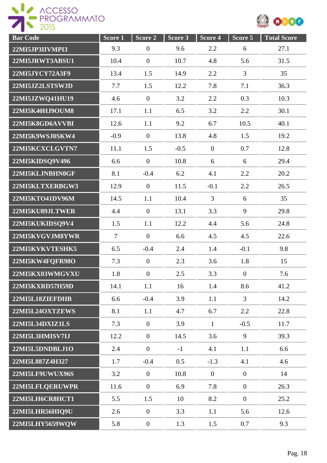ROGESSO



| <b>Bar</b> Code        | Score 1        | Score 2          | Score 3 | Score 4          | Score 5          | <b>Total Score</b> |
|------------------------|----------------|------------------|---------|------------------|------------------|--------------------|
| 22MI5JP3IIVMPI3        | 9.3            | $\boldsymbol{0}$ | 9.6     | 2.2              | 6                | 27.1               |
| 22MI5JRWT3ABSU1        | 10.4           | $\overline{0}$   | 10.7    | 4.8              | 5.6              | 31.5               |
| 22MI5JYCY72A3F9        | 13.4           | 1.5              | 14.9    | 2.2              | 3                | 35                 |
| 22MI5JZ2LSTSWJD        | 7.7            | 1.5              | 12.2    | 7.8              | 7.1              | 36.3               |
| 22MI5JZWQ41HU19        | 4.6            | $\overline{0}$   | 3.2     | 2.2              | 0.3              | 10.3               |
| 22MI5K40HJ9OUM8        | 17.1           | 1.1              | 6.5     | 3.2              | 2.2              | 30.1               |
| 22MI5K8GD6AVVBI        | 12.6           | 1.1              | 9.2     | 6.7              | 10.5             | 40.1               |
| 22MI5K9WSJ0SKW4        | $-0.9$         | $\theta$         | 13.8    | 4.8              | 1.5              | 19.2               |
| 22MI5KCXCLGVTN7        | 11.1           | 1.5              | $-0.5$  | $\mathbf{0}$     | 0.7              | 12.8               |
| 22MI5KIDSQ9V496        | 6.6            | $\overline{0}$   | 10.8    | 6                | 6                | 29.4               |
| 22MI5KLJNBHN0GF        | 8.1            | $-0.4$           | 6.2     | 4.1              | 2.2              | 20.2               |
| 22MI5KLTXERBGW3        | 12.9           | $\overline{0}$   | 11.5    | $-0.1$           | 2.2              | 26.5               |
| 22MI5KTO41DV96M        | 14.5           | 1.1              | 10.4    | $\overline{3}$   | 6                | 35                 |
| 22MI5KU89JLTWER        | 4.4            | $\boldsymbol{0}$ | 13.1    | 3.3              | 9                | 29.8               |
| 22MI5KUKIDSQ9V4        | 1.5            | 1.1              | 12.2    | 4.4              | 5.6              | 24.8               |
| 22MI5KVGVJM8YWR        | $\overline{7}$ | $\overline{0}$   | 6.6     | 4.5              | 4.5              | 22.6               |
| 22MI5KVKVTESHK5        | 6.5            | $-0.4$           | 2.4     | 1.4              | $-0.1$           | 9.8                |
| 22MI5KW4FQFR98O        | 7.3            | $\overline{0}$   | 2.3     | 3.6              | 1.8              | 15                 |
| 22MI5KX03WMGVXU        | 1.8            | $\boldsymbol{0}$ | 2.5     | 3.3              | $\overline{0}$   | 7.6                |
| 22MI5KXRD57H59D        | 14.1           | 1.1              | 16      | 1.4              | 8.6              | 41.2               |
| 22MI5L18ZIEFDHB        | 6.6            | $-0.4$           | 3.9     | 1.1              | $\overline{3}$   | 14.2               |
| 22MI5L24OXTZEWS        | 8.1            | 1.1              | 4.7     | 6.7              | 2.2              | 22.8               |
| <b>22MI5L34DXIZ1LS</b> | 7.3            | $\overline{0}$   | 3.9     | $\mathbf{1}$     | $-0.5$           | 11.7               |
| 22MI5L3HMISV7IJ        | 12.2           | $\boldsymbol{0}$ | 14.5    | 3.6              | 9                | 39.3               |
| 22MI5L5DNDBLJ1O        | 2.4            | $\overline{0}$   | $-1$    | 4.1              | 1.1              | 6.6                |
| 22MI5L887Z4H327        | 1.7            | $-0.4$           | 0.5     | $-1.3$           | 4.1              | 4.6                |
| 22MI5LF9UWUX96S        | 3.2            | $\overline{0}$   | 10.8    | $\boldsymbol{0}$ | $\boldsymbol{0}$ | 14                 |
| 22MI5LFLQERUWPR        | 11.6           | $\boldsymbol{0}$ | 6.9     | 7.8              | $\overline{0}$   | 26.3               |
| 22MI5LH6CR8HCT1        | 5.5            | 1.5              | 10      | 8.2              | $\overline{0}$   | 25.2               |
| 22MI5LHR56HIQ9U        | 2.6            | $\boldsymbol{0}$ | 3.3     | 1.1              | 5.6              | 12.6               |
| 22MI5LHY5659WQW        | 5.8            | $\boldsymbol{0}$ | 1.3     | 1.5              | 0.7              | 9.3                |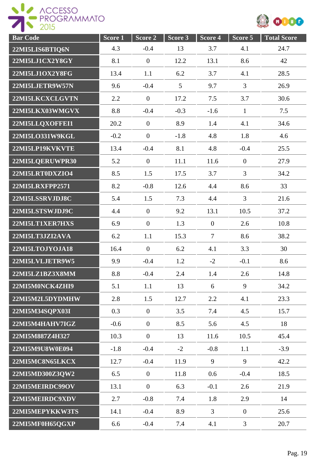

| <b>Bar Code</b>        | Score 1 | Score 2        | Score 3 | Score 4        | Score 5        | <b>Total Score</b> |
|------------------------|---------|----------------|---------|----------------|----------------|--------------------|
| 22MI5LIS6BTIQ6N        | 4.3     | $-0.4$         | 13      | 3.7            | 4.1            | 24.7               |
| 22MI5LJ1CX2Y8GY        | 8.1     | $\mathbf{0}$   | 12.2    | 13.1           | 8.6            | 42                 |
| 22MI5LJ1OX2Y8FG        | 13.4    | 1.1            | 6.2     | 3.7            | 4.1            | 28.5               |
| 22MI5LJETR9W57N        | 9.6     | $-0.4$         | 5       | 9.7            | $\overline{3}$ | 26.9               |
| 22MI5LKCXCLGVTN        | 2.2     | $\overline{0}$ | 17.2    | 7.5            | 3.7            | 30.6               |
| 22MI5LKX03WMGVX        | 8.8     | $-0.4$         | $-0.3$  | $-1.6$         | $\mathbf{1}$   | 7.5                |
| 22MI5LLQXOFFEI1        | 20.2    | $\mathbf{0}$   | 8.9     | 1.4            | 4.1            | 34.6               |
| 22MI5LO331W9KGL        | $-0.2$  | $\mathbf{0}$   | $-1.8$  | 4.8            | 1.8            | 4.6                |
| 22MI5LP19KVKVTE        | 13.4    | $-0.4$         | 8.1     | 4.8            | $-0.4$         | 25.5               |
| 22MI5LQERUWPR30        | 5.2     | $\overline{0}$ | 11.1    | 11.6           | $\overline{0}$ | 27.9               |
| 22MI5LRT0DXZIO4        | 8.5     | 1.5            | 17.5    | 3.7            | $\overline{3}$ | 34.2               |
| <b>22MI5LRXFPP2571</b> | 8.2     | $-0.8$         | 12.6    | 4.4            | 8.6            | 33                 |
| 22MI5LSSRVJDJ8C        | 5.4     | 1.5            | 7.3     | 4.4            | $\overline{3}$ | 21.6               |
| 22MI5LSTSWJDJ9C        | 4.4     | $\mathbf{0}$   | 9.2     | 13.1           | 10.5           | 37.2               |
| 22MI5LT1XER7HXS        | 6.9     | $\mathbf{0}$   | 1.3     | $\mathbf{0}$   | 2.6            | 10.8               |
| 22MI5LT3JZI2AVA        | 6.2     | 1.1            | 15.3    | $\overline{7}$ | 8.6            | 38.2               |
| 22MI5LTOJYOJA18        | 16.4    | $\overline{0}$ | 6.2     | 4.1            | 3.3            | 30                 |
| 22MI5LVLJETR9W5        | 9.9     | $-0.4$         | 1.2     | $-2$           | $-0.1$         | 8.6                |
| 22MI5LZ1BZ3X8MM        | 8.8     | $-0.4$         | 2.4     | 1.4            | 2.6            | 14.8               |
| 22MI5M0NCK4ZHI9        | 5.1     | 1.1            | 13      | 6              | 9              | 34.2               |
| 22MI5M2L5DYDMHW        | 2.8     | 1.5            | 12.7    | 2.2            | 4.1            | 23.3               |
| 22MI5M34SQPX03I        | 0.3     | $\mathbf{0}$   | 3.5     | 7.4            | 4.5            | 15.7               |
| 22MI5M4HAHV7IGZ        | $-0.6$  | $\mathbf{0}$   | 8.5     | 5.6            | 4.5            | 18                 |
| 22MI5M887Z4H327        | 10.3    | $\mathbf{0}$   | 13      | 11.6           | 10.5           | 45.4               |
| 22MI5M9U8W0E094        | $-1.8$  | $-0.4$         | $-2$    | $-0.8$         | 1.1            | $-3.9$             |
| 22MI5MC8N65LKCX        | 12.7    | $-0.4$         | 11.9    | 9              | 9              | 42.2               |
| 22MI5MD300Z3QW2        | 6.5     | $\mathbf{0}$   | 11.8    | 0.6            | $-0.4$         | 18.5               |
| 22MI5MEIRDC99OV        | 13.1    | $\overline{0}$ | 6.3     | $-0.1$         | 2.6            | 21.9               |
| 22MI5MEIRDC9XDV        | 2.7     | $-0.8$         | 7.4     | 1.8            | 2.9            | 14                 |
| 22MI5MEPYKKW3TS        | 14.1    | $-0.4$         | 8.9     | $\overline{3}$ | $\overline{0}$ | 25.6               |
| 22MI5MF0H65QGXP        | 6.6     | $-0.4$         | 7.4     | 4.1            | $\overline{3}$ | 20.7               |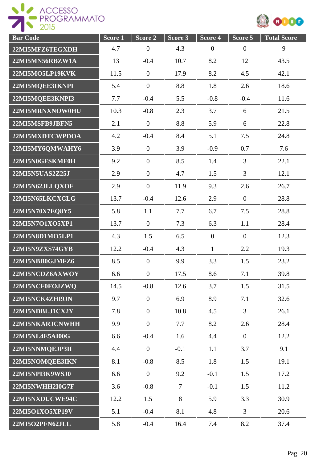



| <b>Bar Code</b> | Score <sub>1</sub> | Score 2          | Score 3        | Score 4          | Score 5          | <b>Total Score</b> |
|-----------------|--------------------|------------------|----------------|------------------|------------------|--------------------|
| 22MI5MFZ6TEGXDH | 4.7                | $\boldsymbol{0}$ | 4.3            | $\boldsymbol{0}$ | $\boldsymbol{0}$ | 9                  |
| 22MI5MN56RBZW1A | 13                 | $-0.4$           | 10.7           | 8.2              | 12               | 43.5               |
| 22MI5MO5LP19KVK | 11.5               | $\mathbf{0}$     | 17.9           | 8.2              | 4.5              | 42.1               |
| 22MI5MQEE3IKNPI | 5.4                | $\overline{0}$   | 8.8            | 1.8              | 2.6              | 18.6               |
| 22MI5MQEE3KNPI3 | 7.7                | $-0.4$           | 5.5            | $-0.8$           | $-0.4$           | 11.6               |
| 22MI5MRNXNOW0HU | 10.3               | $-0.8$           | 2.3            | 3.7              | 6                | 21.5               |
| 22MI5MSFB9JBFN5 | 2.1                | $\overline{0}$   | 8.8            | 5.9              | 6                | 22.8               |
| 22MI5MXDTCWPDOA | 4.2                | $-0.4$           | 8.4            | 5.1              | 7.5              | 24.8               |
| 22MI5MY6QMWAHY6 | 3.9                | $\mathbf{0}$     | 3.9            | $-0.9$           | 0.7              | 7.6                |
| 22MI5N0GFSKMF0H | 9.2                | $\overline{0}$   | 8.5            | 1.4              | $\overline{3}$   | 22.1               |
| 22MI5N5UAS2Z25J | 2.9                | $\overline{0}$   | 4.7            | 1.5              | 3                | 12.1               |
| 22MI5N62JLLQXOF | 2.9                | $\overline{0}$   | 11.9           | 9.3              | 2.6              | 26.7               |
| 22MI5N65LKCXCLG | 13.7               | $-0.4$           | 12.6           | 2.9              | $\overline{0}$   | 28.8               |
| 22MI5N70X7EQ8Y5 | 5.8                | 1.1              | 7.7            | 6.7              | 7.5              | 28.8               |
| 22MI5N7O1XO5XP1 | 13.7               | $\mathbf{0}$     | 7.3            | 6.3              | 1.1              | 28.4               |
| 22MI5N8D1MO5LP1 | 4.3                | 1.5              | 6.5            | $\mathbf{0}$     | $\boldsymbol{0}$ | 12.3               |
| 22MI5N9ZXS74GYB | 12.2               | $-0.4$           | 4.3            | $\mathbf{1}$     | 2.2              | 19.3               |
| 22MI5NBB0GJMFZ6 | 8.5                | $\overline{0}$   | 9.9            | 3.3              | 1.5              | 23.2               |
| 22MI5NCDZ6AXWOY | 6.6                | $\boldsymbol{0}$ | 17.5           | 8.6              | 7.1              | 39.8               |
| 22MI5NCF0FOJZWO | 14.5               | $-0.8$           | 12.6           | 3.7              | 1.5              | 31.5               |
| 22MI5NCK4ZHI9JN | 9.7                | $\overline{0}$   | 6.9            | 8.9              | 7.1              | 32.6               |
| 22MI5NDBLJ1CX2Y | 7.8                | $\overline{0}$   | 10.8           | 4.5              | $\overline{3}$   | 26.1               |
| 22MI5NKARJCNWHH | 9.9                | $\overline{0}$   | 7.7            | 8.2              | 2.6              | 28.4               |
| 22MI5NL4E5AI00G | 6.6                | $-0.4$           | 1.6            | 4.4              | $\overline{0}$   | 12.2               |
| 22MI5NNMQEJP3II | 4.4                | $\overline{0}$   | $-0.1$         | 1.1              | 3.7              | 9.1                |
| 22MI5NOMQEE3IKN | 8.1                | $-0.8$           | 8.5            | 1.8              | 1.5              | 19.1               |
| 22MI5NPI3K9WSJ0 | 6.6                | $\overline{0}$   | 9.2            | $-0.1$           | 1.5              | 17.2               |
| 22MI5NWHH2I0G7F | 3.6                | $-0.8$           | $\overline{7}$ | $-0.1$           | 1.5              | 11.2               |
| 22MI5NXDUCWE94C | 12.2               | 1.5              | 8              | 5.9              | 3.3              | 30.9               |
| 22MI5O1XO5XP19V | 5.1                | $-0.4$           | 8.1            | 4.8              | $\overline{3}$   | 20.6               |
| 22MI5O2PFN62JLL | 5.8                | $-0.4$           | 16.4           | 7.4              | 8.2              | 37.4               |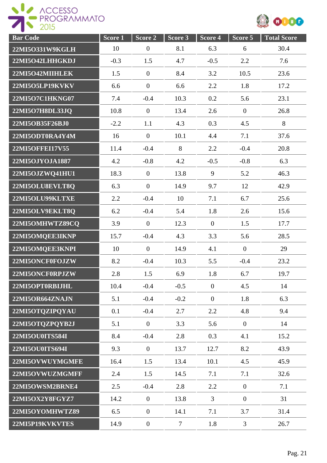



| <b>Bar Code</b>        | Score <sub>1</sub> | Score <sub>2</sub> | Score 3        | Score 4        | Score 5          | <b>Total Score</b> |
|------------------------|--------------------|--------------------|----------------|----------------|------------------|--------------------|
| 22MI5O331W9KGLH        | 10                 | $\overline{0}$     | 8.1            | 6.3            | 6                | 30.4               |
| 22MI5O42LHHGKDJ        | $-0.3$             | 1.5                | 4.7            | $-0.5$         | 2.2              | 7.6                |
| 22MI5O42MIIHLEK        | 1.5                | $\boldsymbol{0}$   | 8.4            | 3.2            | 10.5             | 23.6               |
| 22MI5O5LP19KVKV        | 6.6                | $\overline{0}$     | 6.6            | 2.2            | 1.8              | 17.2               |
| 22MI5O7C1HKNG07        | 7.4                | $-0.4$             | 10.3           | 0.2            | 5.6              | 23.1               |
| 22MI5O7H8DL33JQ        | 10.8               | $\mathbf{0}$       | 13.4           | 2.6            | $\overline{0}$   | 26.8               |
| 22MI5OB35F26BJ0        | $-2.2$             | 1.1                | 4.3            | 0.3            | 4.5              | 8                  |
| 22MI5ODT0RA4Y4M        | 16                 | $\mathbf{0}$       | 10.1           | 4.4            | 7.1              | 37.6               |
| <b>22MI5OFFEI17V55</b> | 11.4               | $-0.4$             | 8              | 2.2            | $-0.4$           | 20.8               |
| 22MI5OJYOJA1887        | 4.2                | $-0.8$             | 4.2            | $-0.5$         | $-0.8$           | 6.3                |
| 22MI5OJZWQ41HU1        | 18.3               | $\mathbf{0}$       | 13.8           | 9              | 5.2              | 46.3               |
| 22MI5OLU8EVLT8Q        | 6.3                | $\overline{0}$     | 14.9           | 9.7            | 12               | 42.9               |
| 22MI5OLU99KLTXE        | 2.2                | $-0.4$             | 10             | 7.1            | 6.7              | 25.6               |
| 22MI5OLV9EKLT8Q        | 6.2                | $-0.4$             | 5.4            | 1.8            | 2.6              | 15.6               |
| 22MI5OMHWTZ89CQ        | 3.9                | $\overline{0}$     | 12.3           | $\overline{0}$ | 1.5              | 17.7               |
| 22MI5OMQEE3IKNP        | 15.7               | $-0.4$             | 4.3            | 3.3            | 5.6              | 28.5               |
| 22MI5OMQEE3KNPI        | 10                 | $\mathbf{0}$       | 14.9           | 4.1            | $\overline{0}$   | 29                 |
| 22MI5ONCF0FOJZW        | 8.2                | $-0.4$             | 10.3           | 5.5            | $-0.4$           | 23.2               |
| 22MI5ONCF0RPJZW        | 2.8                | 1.5                | 6.9            | 1.8            | 6.7              | 19.7               |
| 22MI5OPT0RBIJHL        | 10.4               | $-0.4$             | $-0.5$         | $\overline{0}$ | 4.5              | 14                 |
| 22MI5OR664ZNAJN        | 5.1                | $-0.4$             | $-0.2$         | $\overline{0}$ | 1.8              | 6.3                |
| 22MI5OTQZIPQYAU        | 0.1                | $-0.4$             | 2.7            | 2.2            | 4.8              | 9.4                |
| 22MI5OTQZPQYB2J        | 5.1                | $\mathbf{0}$       | 3.3            | 5.6            | $\overline{0}$   | 14                 |
| 22MI5OU0ITS584I        | 8.4                | $-0.4$             | 2.8            | 0.3            | 4.1              | 15.2               |
| 22MI5OU0ITS694I        | 9.3                | $\mathbf{0}$       | 13.7           | 12.7           | 8.2              | 43.9               |
| 22MI5OVWUYMGMFE        | 16.4               | 1.5                | 13.4           | 10.1           | 4.5              | 45.9               |
| 22MI5OVWUZMGMFF        | 2.4                | 1.5                | 14.5           | 7.1            | 7.1              | 32.6               |
| 22MI5OWSM2BRNE4        | 2.5                | $-0.4$             | 2.8            | 2.2            | $\overline{0}$   | 7.1                |
| 22MI5OX2Y8FGYZ7        | 14.2               | $\mathbf{0}$       | 13.8           | 3              | $\boldsymbol{0}$ | 31                 |
| 22MI5OYOMHWTZ89        | 6.5                | $\mathbf{0}$       | 14.1           | 7.1            | 3.7              | 31.4               |
| 22MI5P19KVKVTES        | 14.9               | $\boldsymbol{0}$   | $\overline{7}$ | 1.8            | $\overline{3}$   | 26.7               |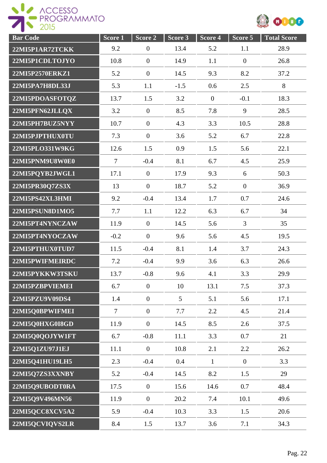



| <b>Bar</b> Code | Score <sub>1</sub> | Score 2        | Score 3         | Score 4      | $Score$ 5        | <b>Total Score</b> |
|-----------------|--------------------|----------------|-----------------|--------------|------------------|--------------------|
| 22MI5P1AR72TCKK | 9.2                | $\mathbf{0}$   | 13.4            | 5.2          | 1.1              | 28.9               |
| 22MI5P1CDLTOJYO | 10.8               | $\overline{0}$ | 14.9            | 1.1          | $\boldsymbol{0}$ | 26.8               |
| 22MI5P2570ERKZ1 | 5.2                | $\mathbf{0}$   | 14.5            | 9.3          | 8.2              | 37.2               |
| 22MI5PA7H8DL33J | 5.3                | 1.1            | $-1.5$          | 0.6          | 2.5              | 8                  |
| 22MI5PDOASFOTQZ | 13.7               | 1.5            | 3.2             | $\mathbf{0}$ | $-0.1$           | 18.3               |
| 22MI5PFN62JLLQX | 3.2                | $\mathbf{0}$   | 8.5             | 7.8          | 9                | 28.5               |
| 22MI5PH7BUZ5NYY | 10.7               | $\overline{0}$ | 4.3             | 3.3          | 10.5             | 28.8               |
| 22MI5PJPTHUX0TU | 7.3                | $\mathbf{0}$   | 3.6             | 5.2          | 6.7              | 22.8               |
| 22MI5PLO331W9KG | 12.6               | 1.5            | 0.9             | 1.5          | 5.6              | 22.1               |
| 22MI5PNM9U8W0E0 | $\overline{7}$     | $-0.4$         | 8.1             | 6.7          | 4.5              | 25.9               |
| 22MI5PQYB2JWGL1 | 17.1               | $\mathbf{0}$   | 17.9            | 9.3          | 6                | 50.3               |
| 22MI5PR30Q7ZS3X | 13                 | $\overline{0}$ | 18.7            | 5.2          | $\overline{0}$   | 36.9               |
| 22MI5PS42XL3HMI | 9.2                | $-0.4$         | 13.4            | 1.7          | 0.7              | 24.6               |
| 22MI5PSUN8D1MO5 | 7.7                | 1.1            | 12.2            | 6.3          | 6.7              | 34                 |
| 22MI5PT4NYNCZAW | 11.9               | $\mathbf{0}$   | 14.5            | 5.6          | 3                | 35                 |
| 22MI5PT4NYOCZAW | $-0.2$             | $\overline{0}$ | 9.6             | 5.6          | 4.5              | 19.5               |
| 22MI5PTHUX0TUD7 | 11.5               | $-0.4$         | 8.1             | 1.4          | 3.7              | 24.3               |
| 22MI5PWIFMEIRDC | 7.2                | $-0.4$         | 9.9             | 3.6          | 6.3              | 26.6               |
| 22MI5PYKKW3TSKU | 13.7               | $-0.8$         | 9.6             | 4.1          | 3.3              | 29.9               |
| 22MI5PZBPVIEMEI | 6.7                | $\overline{0}$ | 10              | 13.1         | 7.5              | 37.3               |
| 22MI5PZU9V09DS4 | 1.4                | $\overline{0}$ | $5\overline{)}$ | 5.1          | 5.6              | 17.1               |
| 22MI5Q0BPWIFMEI | $\overline{7}$     | $\mathbf{0}$   | 7.7             | 2.2          | 4.5              | 21.4               |
| 22MI5Q0HXG0I8GD | 11.9               | $\mathbf{0}$   | 14.5            | 8.5          | 2.6              | 37.5               |
| 22MI5Q0QOJYW1FT | 6.7                | $-0.8$         | 11.1            | 3.3          | 0.7              | 21                 |
| 22MI5Q1ZU97J1EJ | 11.1               | $\overline{0}$ | 10.8            | 2.1          | 2.2              | 26.2               |
| 22MI5Q41HU19LH5 | 2.3                | $-0.4$         | 0.4             | $\mathbf{1}$ | $\overline{0}$   | 3.3                |
| 22MI5Q7ZS3XXNBY | 5.2                | $-0.4$         | 14.5            | 8.2          | 1.5              | 29                 |
| 22MI5Q9UBODT0RA | 17.5               | $\mathbf{0}$   | 15.6            | 14.6         | 0.7              | 48.4               |
| 22MI5Q9V496MN56 | 11.9               | $\mathbf{0}$   | 20.2            | 7.4          | 10.1             | 49.6               |
| 22MI5QCC8XCV5A2 | 5.9                | $-0.4$         | 10.3            | 3.3          | 1.5              | 20.6               |
| 22MI5QCVIQVS2LR | 8.4                | 1.5            | 13.7            | 3.6          | 7.1              | 34.3               |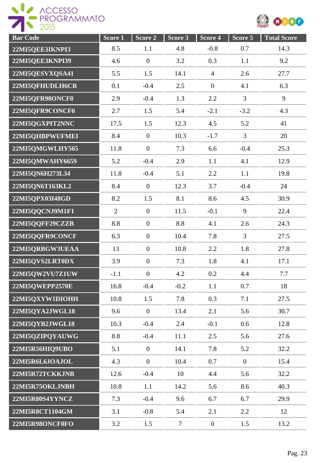

| <b>Bar Code</b> | Score 1        | Score 2          | Score 3        | Score 4          | Score 5        | <b>Total Score</b> |
|-----------------|----------------|------------------|----------------|------------------|----------------|--------------------|
| 22MI5QEE3IKNPI3 | 8.5            | 1.1              | 4.8            | $-0.8$           | 0.7            | 14.3               |
| 22MI5QEE3KNPI39 | 4.6            | $\boldsymbol{0}$ | 3.2            | 0.3              | 1.1            | 9.2                |
| 22MI5QESVXQSA41 | 5.5            | 1.5              | 14.1           | $\overline{4}$   | 2.6            | 27.7               |
| 22MI5QFHUDLH6CR | 0.1            | $-0.4$           | 2.5            | $\boldsymbol{0}$ | 4.1            | 6.3                |
| 22MI5QFR98ONCF0 | 2.9            | $-0.4$           | 1.3            | 2.2              | $\overline{3}$ | 9                  |
| 22MI5QFR9CONCF0 | 2.7            | 1.5              | 5.4            | $-2.1$           | $-3.2$         | 4.3                |
| 22MI5QGXPIT2NNC | 17.5           | 1.5              | 12.3           | 4.5              | 5.2            | 41                 |
| 22MI5QHBPWUFMEI | 8.4            | $\mathbf{0}$     | 10.3           | $-1.7$           | $\overline{3}$ | 20                 |
| 22MI5QMGWLHY565 | 11.8           | $\overline{0}$   | 7.3            | 6.6              | $-0.4$         | 25.3               |
| 22MI5QMWAHY6659 | 5.2            | $-0.4$           | 2.9            | 1.1              | 4.1            | 12.9               |
| 22MI5QN6H273L34 | 11.8           | $-0.4$           | 5.1            | 2.2              | 1.1            | 19.8               |
| 22MI5QN6T163KL2 | 8.4            | $\overline{0}$   | 12.3           | 3.7              | $-0.4$         | 24                 |
| 22MI5QPX03I48GD | 8.2            | 1.5              | 8.1            | 8.6              | 4.5            | 30.9               |
| 22MI5QQCNJ9M1F1 | $\overline{2}$ | $\mathbf{0}$     | 11.5           | $-0.1$           | 9              | 22.4               |
| 22MI5QQFF29CZZB | 8.8            | $\mathbf{0}$     | 8.8            | 4.1              | 2.6            | 24.3               |
| 22MI5QQFR9CONCF | 6.3            | $\boldsymbol{0}$ | 10.4           | 7.8              | $\overline{3}$ | 27.5               |
| 22MI5QRBGW3UEAA | 13             | $\boldsymbol{0}$ | 10.8           | 2.2              | 1.8            | 27.8               |
| 22MI5QVS2LRT0DX | 3.9            | $\mathbf{0}$     | 7.3            | 1.8              | 4.1            | 17.1               |
| 22MI5QW2VU7Z1UW | $-1.1$         | $\boldsymbol{0}$ | 4.2            | 0.2              | 4.4            | 7.7                |
| 22MI5QWEPP2570E | 16.8           | $-0.4$           | $-0.2$         | 1.1              | 0.7            | 18                 |
| 22MI5QXYW1DIOHH | 10.8           | 1.5              | 7.8            | 0.3              | 7.1            | 27.5               |
| 22MI5QYA2JWGL18 | 9.6            | $\overline{0}$   | 13.4           | 2.1              | 5.6            | 30.7               |
| 22MI5QYB2JWGL18 | 10.3           | $-0.4$           | 2.4            | $-0.1$           | 0.6            | 12.8               |
| 22MI5QZIPQYAUWG | 8.8            | $-0.4$           | 11.1           | 2.5              | 5.6            | 27.6               |
| 22MI5R56HIQ9UBO | 5.1            | $\mathbf{0}$     | 14.1           | 7.8              | 5.2            | 32.2               |
| 22MI5R6L6JOAJOL | 4.3            | $\overline{0}$   | 10.4           | 0.7              | $\overline{0}$ | 15.4               |
| 22MI5R72TCKKJNB | 12.6           | $-0.4$           | 10             | 4.4              | 5.6            | 32.2               |
| 22MI5R75OKLJNBH | 10.8           | 1.1              | 14.2           | 5.6              | 8.6            | 40.3               |
| 22MI5R80S4YYNCZ | 7.3            | $-0.4$           | 9.6            | 6.7              | 6.7            | 29.9               |
| 22MI5R8CT1104GM | 3.1            | $-0.8$           | 5.4            | 2.1              | 2.2            | 12                 |
| 22MI5R98ONCF0FO | 3.2            | 1.5              | $\overline{7}$ | $\boldsymbol{0}$ | 1.5            | 13.2               |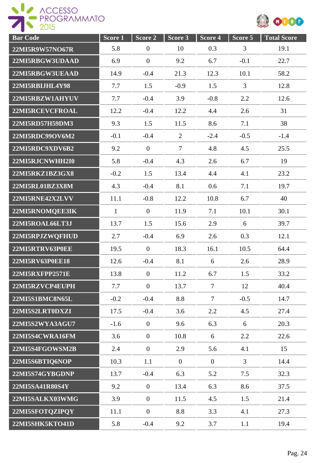



| <b>Bar</b> Code        | Score <sub>1</sub> | Score <sub>2</sub> | Score 3        | Score 4        | Score 5        | <b>Total Score</b> |
|------------------------|--------------------|--------------------|----------------|----------------|----------------|--------------------|
| 22MI5R9W57NO67R        | 5.8                | $\boldsymbol{0}$   | 10             | 0.3            | 3              | 19.1               |
| 22MI5RBGW3UDAAD        | 6.9                | $\boldsymbol{0}$   | 9.2            | 6.7            | $-0.1$         | 22.7               |
| 22MI5RBGW3UEAAD        | 14.9               | $-0.4$             | 21.3           | 12.3           | 10.1           | 58.2               |
| 22MI5RBIJHL4Y98        | 7.7                | 1.5                | $-0.9$         | 1.5            | 3              | 12.8               |
| 22MI5RBZW1AHYUV        | 7.7                | $-0.4$             | 3.9            | $-0.8$         | 2.2            | 12.6               |
| 22MI5RCEVCFROAL        | 12.2               | $-0.4$             | 12.2           | 4.4            | 2.6            | 31                 |
| 22MI5RD57H59DM3        | 9.3                | 1.5                | 11.5           | 8.6            | 7.1            | 38                 |
| 22MI5RDC99OV6M2        | $-0.1$             | $-0.4$             | $\overline{2}$ | $-2.4$         | $-0.5$         | $-1.4$             |
| 22MI5RDC9XDV6B2        | 9.2                | $\overline{0}$     | $\overline{7}$ | 4.8            | 4.5            | 25.5               |
| 22MI5RJCNWHH2I0        | 5.8                | $-0.4$             | 4.3            | 2.6            | 6.7            | 19                 |
| 22MI5RKZ1BZ3GX8        | $-0.2$             | 1.5                | 13.4           | 4.4            | 4.1            | 23.2               |
| 22MI5RL01BZ3X8M        | 4.3                | $-0.4$             | 8.1            | 0.6            | 7.1            | 19.7               |
| 22MI5RNE42X2LVV        | 11.1               | $-0.8$             | 12.2           | 10.8           | 6.7            | 40                 |
| 22MI5RNOMQEE3IK        | $\mathbf{1}$       | $\boldsymbol{0}$   | 11.9           | 7.1            | 10.1           | 30.1               |
| 22MI5ROAL66LT3J        | 13.7               | 1.5                | 15.6           | 2.9            | 6              | 39.7               |
| 22MI5RPJZWQFHUD        | 2.7                | $-0.4$             | 6.9            | 2.6            | 0.3            | 12.1               |
| 22MI5RTRV63P0EE        | 19.5               | $\overline{0}$     | 18.3           | 16.1           | 10.5           | 64.4               |
| 22MI5RV63P0EE18        | 12.6               | $-0.4$             | 8.1            | 6              | 2.6            | 28.9               |
| <b>22MI5RXFPP2571E</b> | 13.8               | $\boldsymbol{0}$   | 11.2           | 6.7            | 1.5            | 33.2               |
| 22MI5RZVCP4EUPH        | 7.7                | $\boldsymbol{0}$   | 13.7           | $\overline{7}$ | 12             | 40.4               |
| 22MI5S1BMC8N65L        | $-0.2$             | $-0.4$             | 8.8            | $\overline{7}$ | $-0.5$         | 14.7               |
| 22MI5S2LRT0DXZI        | 17.5               | $-0.4$             | 3.6            | 2.2            | 4.5            | 27.4               |
| 22MI5S2WYA3AGU7        | $-1.6$             | $\overline{0}$     | 9.6            | 6.3            | 6              | 20.3               |
| 22MI5S4CWRA16FM        | 3.6                | $\overline{0}$     | 10.8           | 6              | 2.2            | 22.6               |
| 22MI5S4FGOWSM2B        | 2.4                | $\boldsymbol{0}$   | 2.9            | 5.6            | 4.1            | 15                 |
| 22MI5S6BTIQ6NOP        | 10.3               | 1.1                | $\overline{0}$ | $\overline{0}$ | $\overline{3}$ | 14.4               |
| 22MI5S74GYBGDNP        | 13.7               | $-0.4$             | 6.3            | 5.2            | 7.5            | 32.3               |
| 22MI5SA41R80S4Y        | 9.2                | $\overline{0}$     | 13.4           | 6.3            | 8.6            | 37.5               |
| 22MI5SALKX03WMG        | 3.9                | $\boldsymbol{0}$   | 11.5           | 4.5            | 1.5            | 21.4               |
| 22MI5SFOTQZIPQY        | 11.1               | $\boldsymbol{0}$   | 8.8            | 3.3            | 4.1            | 27.3               |
| 22MI5SHK5KTO41D        | 5.8                | $-0.4$             | 9.2            | 3.7            | 1.1            | 19.4               |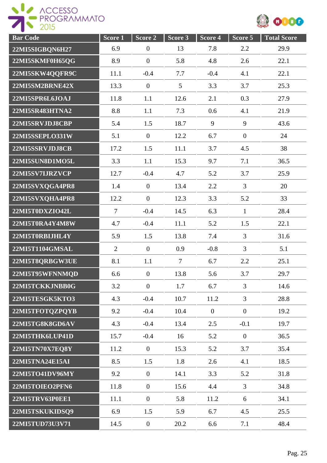

| <b>Bar Code</b> | Score <sub>1</sub> | Score 2          | Score 3        | Score 4      | Score 5        | <b>Total Score</b> |
|-----------------|--------------------|------------------|----------------|--------------|----------------|--------------------|
| 22MI5SIGBQN6H27 | 6.9                | $\boldsymbol{0}$ | 13             | 7.8          | 2.2            | 29.9               |
| 22MI5SKMF0H65QG | 8.9                | $\mathbf{0}$     | 5.8            | 4.8          | 2.6            | 22.1               |
| 22MI5SKW4QQFR9C | 11.1               | $-0.4$           | 7.7            | $-0.4$       | 4.1            | 22.1               |
| 22MI5SM2BRNE42X | 13.3               | $\boldsymbol{0}$ | 5              | 3.3          | 3.7            | 25.3               |
| 22MI5SPR6L6JOAJ | 11.8               | 1.1              | 12.6           | 2.1          | 0.3            | 27.9               |
| 22MI5SR483HTNA2 | 8.8                | 1.1              | 7.3            | 0.6          | 4.1            | 21.9               |
| 22MI5SRVJDJ8CBP | 5.4                | 1.5              | 18.7           | 9            | 9              | 43.6               |
| 22MI5SSEPLO331W | 5.1                | $\overline{0}$   | 12.2           | 6.7          | $\overline{0}$ | 24                 |
| 22MI5SSRVJDJ8CB | 17.2               | 1.5              | 11.1           | 3.7          | 4.5            | 38                 |
| 22MI5SUN8D1MO5L | 3.3                | 1.1              | 15.3           | 9.7          | 7.1            | 36.5               |
| 22MI5SV7LJRZVCP | 12.7               | $-0.4$           | 4.7            | 5.2          | 3.7            | 25.9               |
| 22MI5SVXQGA4PR8 | 1.4                | $\boldsymbol{0}$ | 13.4           | 2.2          | $\overline{3}$ | 20                 |
| 22MI5SVXQHA4PR8 | 12.2               | $\overline{0}$   | 12.3           | 3.3          | 5.2            | 33                 |
| 22MI5T0DXZIO42L | $\overline{7}$     | $-0.4$           | 14.5           | 6.3          | $\mathbf{1}$   | 28.4               |
| 22MI5T0RA4Y4M8W | 4.7                | $-0.4$           | 11.1           | 5.2          | 1.5            | 22.1               |
| 22MI5T0RBIJHL4Y | 5.9                | 1.5              | 13.8           | 7.4          | 3              | 31.6               |
| 22MI5T1104GMSAL | $\overline{2}$     | $\theta$         | 0.9            | $-0.8$       | $\overline{3}$ | 5.1                |
| 22MI5T8QRBGW3UE | 8.1                | 1.1              | $\overline{7}$ | 6.7          | 2.2            | 25.1               |
| 22MI5T95WFNNMQD | 6.6                | $\boldsymbol{0}$ | 13.8           | 5.6          | 3.7            | 29.7               |
| 22MI5TCKKJNBB0G | 3.2                | $\overline{0}$   | 1.7            | 6.7          | 3              | 14.6               |
| 22MI5TESGK5KTO3 | 4.3                | $-0.4$           | 10.7           | 11.2         | 3              | 28.8               |
| 22MI5TFOTQZPQYB | 9.2                | $-0.4$           | 10.4           | $\mathbf{0}$ | $\overline{0}$ | 19.2               |
| 22MI5TG8K8GD6AV | 4.3                | $-0.4$           | 13.4           | 2.5          | $-0.1$         | 19.7               |
| 22MI5THK6LUP41D | 15.7               | $-0.4$           | 16             | 5.2          | $\overline{0}$ | 36.5               |
| 22MI5TN70X7EQ8Y | 11.2               | $\overline{0}$   | 15.3           | 5.2          | 3.7            | 35.4               |
| 22MI5TNA24E15AI | 8.5                | 1.5              | 1.8            | 2.6          | 4.1            | 18.5               |
| 22MI5TO41DV96MY | 9.2                | $\overline{0}$   | 14.1           | 3.3          | 5.2            | 31.8               |
| 22MI5TOIEO2PFN6 | 11.8               | $\boldsymbol{0}$ | 15.6           | 4.4          | $\overline{3}$ | 34.8               |
| 22MI5TRV63P0EE1 | 11.1               | $\boldsymbol{0}$ | 5.8            | 11.2         | 6              | 34.1               |
| 22MI5TSKUKIDSQ9 | 6.9                | 1.5              | 5.9            | 6.7          | 4.5            | 25.5               |
| 22MI5TUD73U3V71 | 14.5               | $\boldsymbol{0}$ | 20.2           | 6.6          | 7.1            | 48.4               |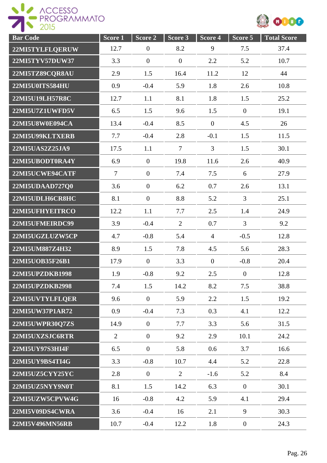



| <b>Bar</b> Code        | Score 1 | Score 2          | Score 3        | Score 4        | Score 5          | <b>Total Score</b> |
|------------------------|---------|------------------|----------------|----------------|------------------|--------------------|
| 22MI5TYLFLQERUW        | 12.7    | $\boldsymbol{0}$ | 8.2            | 9              | 7.5              | 37.4               |
| 22MI5TYV57DUW37        | 3.3     | $\mathbf{0}$     | $\mathbf{0}$   | 2.2            | 5.2              | 10.7               |
| 22MI5TZ89CQR8AU        | 2.9     | 1.5              | 16.4           | 11.2           | 12               | 44                 |
| 22MI5U0ITS584HU        | 0.9     | $-0.4$           | 5.9            | 1.8            | 2.6              | 10.8               |
| 22MI5U19LH57R8C        | 12.7    | 1.1              | 8.1            | 1.8            | 1.5              | 25.2               |
| <b>22MI5U7Z1UWFD5V</b> | 6.5     | 1.5              | 9.6            | 1.5            | $\overline{0}$   | 19.1               |
| 22MI5U8W0E094CA        | 13.4    | $-0.4$           | 8.5            | $\mathbf{0}$   | 4.5              | 26                 |
| 22MI5U99KLTXERB        | 7.7     | $-0.4$           | 2.8            | $-0.1$         | 1.5              | 11.5               |
| 22MI5UAS2Z25JA9        | 17.5    | 1.1              | $\overline{7}$ | $\overline{3}$ | 1.5              | 30.1               |
| 22MI5UBODT0RA4Y        | 6.9     | $\overline{0}$   | 19.8           | 11.6           | 2.6              | 40.9               |
| 22MI5UCWE94CATF        | $\tau$  | $\overline{0}$   | 7.4            | 7.5            | 6                | 27.9               |
| 22MI5UDAAD727Q0        | 3.6     | $\mathbf{0}$     | 6.2            | 0.7            | 2.6              | 13.1               |
| 22MI5UDLH6CR8HC        | 8.1     | $\mathbf{0}$     | 8.8            | 5.2            | $\overline{3}$   | 25.1               |
| 22MI5UFHYEITRCO        | 12.2    | 1.1              | 7.7            | 2.5            | 1.4              | 24.9               |
| 22MI5UFMEIRDC99        | 3.9     | $-0.4$           | $\overline{2}$ | 0.7            | 3                | 9.2                |
| 22MI5UGZLUZW5CP        | 4.7     | $-0.8$           | 5.4            | $\overline{4}$ | $-0.5$           | 12.8               |
| 22MI5UM887Z4H32        | 8.9     | 1.5              | 7.8            | 4.5            | 5.6              | 28.3               |
| 22MI5UOB35F26B1        | 17.9    | $\overline{0}$   | 3.3            | $\overline{0}$ | $-0.8$           | 20.4               |
| <b>22MI5UPZDKB1998</b> | 1.9     | $-0.8$           | 9.2            | 2.5            | $\overline{0}$   | 12.8               |
| 22MI5UPZDKB2998        | 7.4     | 1.5              | 14.2           | 8.2            | 7.5              | 38.8               |
| 22MI5UVTYLFLQER        | 9.6     | $\overline{0}$   | 5.9            | 2.2            | 1.5              | 19.2               |
| 22MI5UW37P1AR72        | 0.9     | $-0.4$           | 7.3            | 0.3            | 4.1              | 12.2               |
| 22MI5UWPR30Q7ZS        | 14.9    | $\overline{0}$   | 7.7            | 3.3            | 5.6              | 31.5               |
| 22MI5UXZSJC6RTR        | 2       | $\boldsymbol{0}$ | 9.2            | 2.9            | 10.1             | 24.2               |
| 22MI5UY97S3HI4F        | 6.5     | $\boldsymbol{0}$ | 5.8            | 0.6            | 3.7              | 16.6               |
| 22MI5UY9BS4TI4G        | 3.3     | $-0.8$           | 10.7           | 4.4            | 5.2              | 22.8               |
| 22MI5UZ5CYY25YC        | 2.8     | $\overline{0}$   | $\overline{2}$ | $-1.6$         | 5.2              | 8.4                |
| 22MI5UZ5NYY9N0T        | 8.1     | 1.5              | 14.2           | 6.3            | $\overline{0}$   | 30.1               |
| 22MI5UZW5CPVW4G        | 16      | $-0.8$           | 4.2            | 5.9            | 4.1              | 29.4               |
| 22MI5V09DS4CWRA        | 3.6     | $-0.4$           | 16             | 2.1            | 9                | 30.3               |
| 22MI5V496MN56RB        | 10.7    | $-0.4$           | 12.2           | 1.8            | $\boldsymbol{0}$ | 24.3               |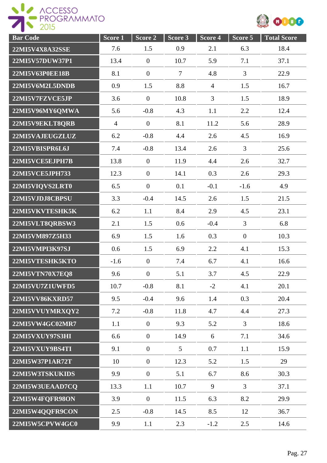



| <b>Bar Code</b> | Score <sub>1</sub> | Score 2          | Score 3        | Score 4        | Score 5        | <b>Total Score</b> |
|-----------------|--------------------|------------------|----------------|----------------|----------------|--------------------|
| 22MI5V4X8A32SSE | 7.6                | 1.5              | 0.9            | 2.1            | 6.3            | 18.4               |
| 22MI5V57DUW37P1 | 13.4               | $\boldsymbol{0}$ | 10.7           | 5.9            | 7.1            | 37.1               |
| 22MI5V63P0EE18B | 8.1                | $\boldsymbol{0}$ | $\overline{7}$ | 4.8            | 3              | 22.9               |
| 22MI5V6M2L5DNDB | 0.9                | 1.5              | 8.8            | $\overline{4}$ | 1.5            | 16.7               |
| 22MI5V7FZVCE5JP | 3.6                | $\overline{0}$   | 10.8           | $\overline{3}$ | 1.5            | 18.9               |
| 22MI5V96MY6QMWA | 5.6                | $-0.8$           | 4.3            | 1.1            | 2.2            | 12.4               |
| 22MI5V9EKLT8QRB | $\overline{4}$     | $\boldsymbol{0}$ | 8.1            | 11.2           | 5.6            | 28.9               |
| 22MI5VAJEUGZLUZ | 6.2                | $-0.8$           | 4.4            | 2.6            | 4.5            | 16.9               |
| 22MI5VBISPR6L6J | 7.4                | $-0.8$           | 13.4           | 2.6            | $\overline{3}$ | 25.6               |
| 22MI5VCE5EJPH7B | 13.8               | $\boldsymbol{0}$ | 11.9           | 4.4            | 2.6            | 32.7               |
| 22MI5VCE5JPH733 | 12.3               | $\overline{0}$   | 14.1           | 0.3            | 2.6            | 29.3               |
| 22MI5VIQVS2LRT0 | 6.5                | $\overline{0}$   | 0.1            | $-0.1$         | $-1.6$         | 4.9                |
| 22MI5VJDJ8CBPSU | 3.3                | $-0.4$           | 14.5           | 2.6            | 1.5            | 21.5               |
| 22MI5VKVTESHK5K | 6.2                | 1.1              | 8.4            | 2.9            | 4.5            | 23.1               |
| 22MI5VLT8QRBSW3 | 2.1                | 1.5              | 0.6            | $-0.4$         | 3              | 6.8                |
| 22MI5VM897Z5H33 | 6.9                | 1.5              | 1.6            | 0.3            | $\overline{0}$ | 10.3               |
| 22MI5VMPI3K97SJ | 0.6                | 1.5              | 6.9            | 2.2            | 4.1            | 15.3               |
| 22MI5VTESHK5KTO | $-1.6$             | $\overline{0}$   | 7.4            | 6.7            | 4.1            | 16.6               |
| 22MI5VTN70X7EQ8 | 9.6                | $\boldsymbol{0}$ | 5.1            | 3.7            | 4.5            | 22.9               |
| 22MI5VU7Z1UWFD5 | 10.7               | $-0.8$           | 8.1            | $-2$           | 4.1            | 20.1               |
| 22MI5VV86KXRD57 | 9.5                | $-0.4$           | 9.6            | 1.4            | 0.3            | 20.4               |
| 22MI5VVUYMRXQY2 | 7.2                | $-0.8$           | 11.8           | 4.7            | 4.4            | 27.3               |
| 22MI5VW4GC02MR7 | 1.1                | $\overline{0}$   | 9.3            | 5.2            | $\overline{3}$ | 18.6               |
| 22MI5VXUY97S3HI | 6.6                | $\overline{0}$   | 14.9           | 6              | 7.1            | 34.6               |
| 22MI5VXUY9BS4TI | 9.1                | $\overline{0}$   | 5              | 0.7            | 1.1            | 15.9               |
| 22MI5W37P1AR72T | 10                 | $\overline{0}$   | 12.3           | 5.2            | 1.5            | 29                 |
| 22MI5W3TSKUKIDS | 9.9                | $\mathbf{0}$     | 5.1            | 6.7            | 8.6            | 30.3               |
| 22MI5W3UEAAD7CQ | 13.3               | 1.1              | 10.7           | 9              | $\overline{3}$ | 37.1               |
| 22MI5W4FQFR98ON | 3.9                | $\boldsymbol{0}$ | 11.5           | 6.3            | 8.2            | 29.9               |
| 22MI5W4QQFR9CON | 2.5                | $-0.8$           | 14.5           | 8.5            | 12             | 36.7               |
| 22MI5W5CPVW4GC0 | 9.9                | 1.1              | 2.3            | $-1.2$         | 2.5            | 14.6               |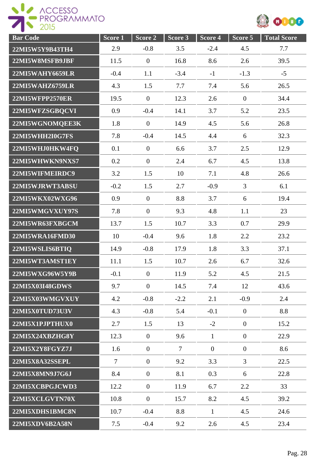



| <b>Bar Code</b>        | Score <sub>1</sub> | Score 2        | Score 3 | Score 4        | Score 5          | <b>Total Score</b> |
|------------------------|--------------------|----------------|---------|----------------|------------------|--------------------|
| 22MI5W5Y9B43TH4        | 2.9                | $-0.8$         | 3.5     | $-2.4$         | 4.5              | 7.7                |
| 22MI5W8MSFB9JBF        | 11.5               | $\mathbf{0}$   | 16.8    | 8.6            | 2.6              | 39.5               |
| 22MI5WAHY6659LR        | $-0.4$             | 1.1            | $-3.4$  | $-1$           | $-1.3$           | $-5$               |
| 22MI5WAHZ6759LR        | 4.3                | 1.5            | 7.7     | 7.4            | 5.6              | 26.5               |
| 22MI5WFPP2570ER        | 19.5               | $\mathbf{0}$   | 12.3    | 2.6            | $\boldsymbol{0}$ | 34.4               |
| 22MI5WFZSGBQCVI        | 0.9                | $-0.4$         | 14.1    | 3.7            | 5.2              | 23.5               |
| 22MI5WGNOMQEE3K        | 1.8                | $\mathbf{0}$   | 14.9    | 4.5            | 5.6              | 26.8               |
| 22MI5WHH2I0G7FS        | 7.8                | $-0.4$         | 14.5    | 4.4            | 6                | 32.3               |
| 22MI5WHJ0HKW4FQ        | 0.1                | $\mathbf{0}$   | 6.6     | 3.7            | 2.5              | 12.9               |
| 22MI5WHWKN9NXS7        | 0.2                | $\mathbf{0}$   | 2.4     | 6.7            | 4.5              | 13.8               |
| 22MI5WIFMEIRDC9        | 3.2                | 1.5            | 10      | 7.1            | 4.8              | 26.6               |
| 22MI5WJRWT3ABSU        | $-0.2$             | 1.5            | 2.7     | $-0.9$         | 3                | 6.1                |
| 22MI5WKX02WXG96        | 0.9                | $\mathbf{0}$   | 8.8     | 3.7            | 6                | 19.4               |
| 22MI5WMGVXUY97S        | 7.8                | $\mathbf{0}$   | 9.3     | 4.8            | 1.1              | 23                 |
| 22MI5WR63FXBGCM        | 13.7               | 1.5            | 10.7    | 3.3            | 0.7              | 29.9               |
| 22MI5WRA16FMD30        | 10                 | $-0.4$         | 9.6     | 1.8            | 2.2              | 23.2               |
| 22MI5WSLIS6BTIQ        | 14.9               | $-0.8$         | 17.9    | 1.8            | 3.3              | 37.1               |
| 22MI5WT3AMST1EY        | 11.1               | 1.5            | 10.7    | 2.6            | 6.7              | 32.6               |
| 22MI5WXG96W5Y9B        | $-0.1$             | $\mathbf{0}$   | 11.9    | 5.2            | 4.5              | 21.5               |
| 22MI5X03I48GDWS        | 9.7                | $\overline{0}$ | 14.5    | 7.4            | 12               | 43.6               |
| 22MI5X03WMGVXUY        | 4.2                | $-0.8$         | $-2.2$  | 2.1            | $-0.9$           | 2.4                |
| 22MI5X0TUD73U3V        | 4.3                | $-0.8$         | 5.4     | $-0.1$         | $\overline{0}$   | 8.8                |
| 22MI5X1PJPTHUX0        | 2.7                | 1.5            | 13      | $-2$           | $\overline{0}$   | 15.2               |
| 22MI5X24XBZHG8Y        | 12.3               | $\overline{0}$ | 9.6     | $\mathbf{1}$   | $\overline{0}$   | 22.9               |
| 22MI5X2Y8FGYZ7J        | 1.6                | $\overline{0}$ | $\tau$  | $\overline{0}$ | $\overline{0}$   | 8.6                |
| <b>22MI5X8A32SSEPL</b> | $\tau$             | $\overline{0}$ | 9.2     | 3.3            | $\overline{3}$   | 22.5               |
| 22MI5X8MN9J7G6J        | 8.4                | $\mathbf{0}$   | 8.1     | 0.3            | 6                | 22.8               |
| 22MI5XCBPGJCWD3        | 12.2               | $\overline{0}$ | 11.9    | 6.7            | 2.2              | 33                 |
| 22MI5XCLGVTN70X        | 10.8               | $\overline{0}$ | 15.7    | 8.2            | 4.5              | 39.2               |
| 22MI5XDHS1BMC8N        | 10.7               | $-0.4$         | 8.8     | $\mathbf{1}$   | 4.5              | 24.6               |
| 22MI5XDV6B2A58N        | 7.5                | $-0.4$         | 9.2     | 2.6            | 4.5              | 23.4               |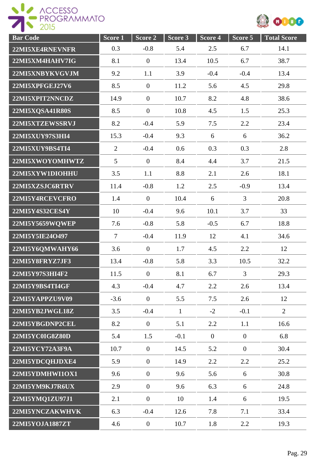ROGRAMMATO



| <b>Bar</b> Code        | Score 1        | Score 2          | Score 3      | Score 4        | Score 5        | <b>Total Score</b> |
|------------------------|----------------|------------------|--------------|----------------|----------------|--------------------|
| 22MI5XE4RNEVNFR        | 0.3            | $-0.8$           | 5.4          | 2.5            | 6.7            | 14.1               |
| 22MI5XM4HAHV7IG        | 8.1            | $\boldsymbol{0}$ | 13.4         | 10.5           | 6.7            | 38.7               |
| 22MI5XNBYKVGVJM        | 9.2            | 1.1              | 3.9          | $-0.4$         | $-0.4$         | 13.4               |
| <b>22MI5XPFGEJ27V6</b> | 8.5            | $\overline{0}$   | 11.2         | 5.6            | 4.5            | 29.8               |
| 22MI5XPIT2NNCDZ        | 14.9           | $\boldsymbol{0}$ | 10.7         | 8.2            | 4.8            | 38.6               |
| 22MI5XQSA41R80S        | 8.5            | $\boldsymbol{0}$ | 10.8         | 4.5            | 1.5            | 25.3               |
| 22MI5XTZEWSSRVJ        | 8.2            | $-0.4$           | 5.9          | 7.5            | 2.2            | 23.4               |
| 22MI5XUY97S3HI4        | 15.3           | $-0.4$           | 9.3          | 6              | 6              | 36.2               |
| 22MI5XUY9BS4TI4        | $\overline{2}$ | $-0.4$           | 0.6          | 0.3            | 0.3            | 2.8                |
| 22MI5XWOYOMHWTZ        | 5              | $\overline{0}$   | 8.4          | 4.4            | 3.7            | 21.5               |
| 22MI5XYW1DIOHHU        | 3.5            | 1.1              | 8.8          | 2.1            | 2.6            | 18.1               |
| 22MI5XZSJC6RTRV        | 11.4           | $-0.8$           | 1.2          | 2.5            | $-0.9$         | 13.4               |
| 22MI5Y4RCEVCFRO        | 1.4            | $\overline{0}$   | 10.4         | 6              | $\overline{3}$ | 20.8               |
| 22MI5Y4S32CES4Y        | 10             | $-0.4$           | 9.6          | 10.1           | 3.7            | 33                 |
| 22MI5Y5659WQWEP        | 7.6            | $-0.8$           | 5.8          | $-0.5$         | 6.7            | 18.8               |
| 22MI5Y5IE24O497        | $\overline{7}$ | $-0.4$           | 11.9         | 12             | 4.1            | 34.6               |
| 22MI5Y6QMWAHY66        | 3.6            | $\overline{0}$   | 1.7          | 4.5            | 2.2            | 12                 |
| 22MI5Y8FRYZ7JF3        | 13.4           | $-0.8$           | 5.8          | 3.3            | 10.5           | 32.2               |
| 22MI5Y97S3HI4F2        | 11.5           | $\overline{0}$   | 8.1          | 6.7            | 3              | 29.3               |
| 22MI5Y9BS4TI4GF        | 4.3            | $-0.4$           | 4.7          | 2.2            | 2.6            | 13.4               |
| 22MI5YAPPZU9V09        | $-3.6$         | $\overline{0}$   | 5.5          | 7.5            | 2.6            | 12                 |
| 22MI5YB2JWGL18Z        | 3.5            | $-0.4$           | $\mathbf{1}$ | $-2$           | $-0.1$         | $\overline{2}$     |
| 22MI5YBGDNP2CEL        | 8.2            | $\mathbf{0}$     | 5.1          | 2.2            | 1.1            | 16.6               |
| 22MI5YC0IG8Z80D        | 5.4            | 1.5              | $-0.1$       | $\overline{0}$ | $\overline{0}$ | 6.8                |
| 22MI5YCY72A3F9A        | 10.7           | $\overline{0}$   | 14.5         | 5.2            | $\overline{0}$ | 30.4               |
| 22MI5YDCQHJDXE4        | 5.9            | $\overline{0}$   | 14.9         | 2.2            | 2.2            | 25.2               |
| 22MI5YDMHWI1OX1        | 9.6            | $\overline{0}$   | 9.6          | 5.6            | 6              | 30.8               |
| 22MI5YM9KJ7R6UX        | 2.9            | $\overline{0}$   | 9.6          | 6.3            | 6              | 24.8               |
| 22MI5YMQ1ZU97J1        | 2.1            | $\boldsymbol{0}$ | 10           | 1.4            | 6              | 19.5               |
| 22MI5YNCZAKWHVK        | 6.3            | $-0.4$           | 12.6         | 7.8            | 7.1            | 33.4               |
| 22MI5YOJA1887ZT        | 4.6            | $\boldsymbol{0}$ | 10.7         | 1.8            | 2.2            | 19.3               |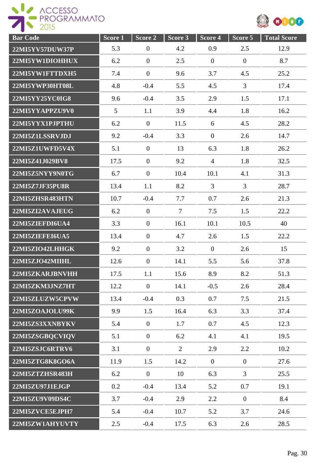



| <b>Bar Code</b> | Score <sub>1</sub> | Score 2          | Score 3 | Score 4          | Score 5        | <b>Total Score</b> |
|-----------------|--------------------|------------------|---------|------------------|----------------|--------------------|
| 22MI5YV57DUW37P | 5.3                | $\overline{0}$   | 4.2     | 0.9              | 2.5            | 12.9               |
| 22MI5YW1DIOHHUX | 6.2                | $\overline{0}$   | 2.5     | $\boldsymbol{0}$ | $\overline{0}$ | 8.7                |
| 22MI5YW1FTTDXH5 | 7.4                | $\overline{0}$   | 9.6     | 3.7              | 4.5            | 25.2               |
| 22MI5YWP30HT08L | 4.8                | $-0.4$           | 5.5     | 4.5              | $\mathfrak{Z}$ | 17.4               |
| 22MI5YY25YC0IG8 | 9.6                | $-0.4$           | 3.5     | 2.9              | 1.5            | 17.1               |
| 22MI5YYAPPZU9V0 | 5                  | 1.1              | 3.9     | 4.4              | 1.8            | 16.2               |
| 22MI5YYX1PJPTHU | 6.2                | $\mathbf{0}$     | 11.5    | 6                | 4.5            | 28.2               |
| 22MI5Z1LSSRVJDJ | 9.2                | $-0.4$           | 3.3     | $\overline{0}$   | 2.6            | 14.7               |
| 22MI5Z1UWFD5V4X | 5.1                | $\overline{0}$   | 13      | 6.3              | 1.8            | 26.2               |
| 22MI5Z41J029BV8 | 17.5               | $\overline{0}$   | 9.2     | $\overline{4}$   | 1.8            | 32.5               |
| 22MI5Z5NYY9N0TG | 6.7                | $\overline{0}$   | 10.4    | 10.1             | 4.1            | 31.3               |
| 22MI5Z7JF35PU8R | 13.4               | 1.1              | 8.2     | $\overline{3}$   | 3              | 28.7               |
| 22MI5ZHSR483HTN | 10.7               | $-0.4$           | 7.7     | 0.7              | 2.6            | 21.3               |
| 22MI5ZI2AVAJEUG | 6.2                | $\overline{0}$   | $\tau$  | 7.5              | 1.5            | 22.2               |
| 22MI5ZIEFDI6UA4 | 3.3                | $\overline{0}$   | 16.1    | 10.1             | 10.5           | 40                 |
| 22MI5ZIEFEI6UA5 | 13.4               | $\overline{0}$   | 4.7     | 2.6              | 1.5            | 22.2               |
| 22MI5ZIO42LHHGK | 9.2                | $\overline{0}$   | 3.2     | $\boldsymbol{0}$ | 2.6            | 15                 |
| 22MI5ZJO42MIIHL | 12.6               | $\overline{0}$   | 14.1    | 5.5              | 5.6            | 37.8               |
| 22MI5ZKARJBNVHH | 17.5               | 1.1              | 15.6    | 8.9              | 8.2            | 51.3               |
| 22MI5ZKM3JNZ7HT | 12.2               | $\boldsymbol{0}$ | 14.1    | $-0.5$           | 2.6            | 28.4               |
| 22MI5ZLUZW5CPVW | 13.4               | $-0.4$           | 0.3     | 0.7              | 7.5            | 21.5               |
| 22MI5ZOAJOLU99K | 9.9                | 1.5              | 16.4    | 6.3              | 3.3            | 37.4               |
| 22MI5ZS3XXNBYKV | 5.4                | $\overline{0}$   | 1.7     | 0.7              | 4.5            | 12.3               |
| 22MI5ZSGBQCVIQV | 5.1                | $\mathbf{0}$     | 6.2     | 4.1              | 4.1            | 19.5               |
| 22MI5ZSJC6RTRV6 | 3.1                | $\overline{0}$   | 2       | 2.9              | 2.2            | 10.2               |
| 22MI5ZTG8K8GO6A | 11.9               | 1.5              | 14.2    | $\overline{0}$   | $\overline{0}$ | 27.6               |
| 22MI5ZTZHSR483H | 6.2                | $\overline{0}$   | 10      | 6.3              | $\overline{3}$ | 25.5               |
| 22MI5ZU97J1EJGP | 0.2                | $-0.4$           | 13.4    | 5.2              | 0.7            | 19.1               |
| 22MI5ZU9V09DS4C | 3.7                | $-0.4$           | 2.9     | 2.2              | $\overline{0}$ | 8.4                |
| 22MI5ZVCE5EJPH7 | 5.4                | $-0.4$           | 10.7    | 5.2              | 3.7            | 24.6               |
| 22MI5ZW1AHYUVTY | 2.5                | $-0.4$           | 17.5    | 6.3              | 2.6            | 28.5               |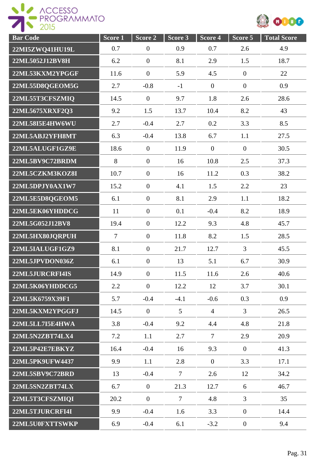



| <b>Bar</b> Code        | Score 1        | Score 2          | Score 3         | Score 4        | Score 5          | <b>Total Score</b> |
|------------------------|----------------|------------------|-----------------|----------------|------------------|--------------------|
| 22MI5ZWQ41HU19L        | 0.7            | $\overline{0}$   | 0.9             | 0.7            | 2.6              | 4.9                |
| 22ML5052J12BV8H        | 6.2            | $\boldsymbol{0}$ | 8.1             | 2.9            | 1.5              | 18.7               |
| 22ML53KXM2YPGGF        | 11.6           | $\mathbf{0}$     | 5.9             | 4.5            | $\overline{0}$   | 22                 |
| 22ML55D8QGEOM5G        | 2.7            | $-0.8$           | $-1$            | $\overline{0}$ | $\boldsymbol{0}$ | 0.9                |
| 22ML55T3CFSZMIQ        | 14.5           | $\mathbf{0}$     | 9.7             | 1.8            | 2.6              | 28.6               |
| 22ML5675XRXF2Q3        | 9.2            | 1.5              | 13.7            | 10.4           | 8.2              | 43                 |
| 22ML58I5E4HW6WU        | 2.7            | $-0.4$           | 2.7             | 0.2            | 3.3              | 8.5                |
| 22ML5ABJ2YFH8MT        | 6.3            | $-0.4$           | 13.8            | 6.7            | 1.1              | 27.5               |
| 22ML5ALUGF1GZ9E        | 18.6           | $\mathbf{0}$     | 11.9            | $\theta$       | $\overline{0}$   | 30.5               |
| 22ML5BV9C72BRDM        | 8              | $\mathbf{0}$     | 16              | 10.8           | 2.5              | 37.3               |
| 22ML5CZKM3KOZ8I        | 10.7           | $\overline{0}$   | 16              | 11.2           | 0.3              | 38.2               |
| 22ML5DPJY0AX1W7        | 15.2           | $\overline{0}$   | 4.1             | 1.5            | 2.2              | 23                 |
| 22ML5E5D8QGEOM5        | 6.1            | $\mathbf{0}$     | 8.1             | 2.9            | 1.1              | 18.2               |
| 22ML5EK06YHDDCG        | 11             | $\overline{0}$   | 0.1             | $-0.4$         | 8.2              | 18.9               |
| 22ML5G052J12BV8        | 19.4           | $\mathbf{0}$     | 12.2            | 9.3            | 4.8              | 45.7               |
| 22ML5HX80JQRPUH        | $\overline{7}$ | $\boldsymbol{0}$ | 11.8            | 8.2            | 1.5              | 28.5               |
| 22ML5IALUGF1GZ9        | 8.1            | $\boldsymbol{0}$ | 21.7            | 12.7           | 3                | 45.5               |
| 22ML5JPVDON036Z        | 6.1            | $\boldsymbol{0}$ | 13              | 5.1            | 6.7              | 30.9               |
| 22ML5JURCRFI4IS        | 14.9           | $\boldsymbol{0}$ | 11.5            | 11.6           | 2.6              | 40.6               |
| 22ML5K06YHDDCG5        | 2.2            | $\overline{0}$   | 12.2            | 12             | 3.7              | 30.1               |
| 22ML5K6759X39F1        | 5.7            | $-0.4$           | $-4.1$          | $-0.6$         | 0.3              | 0.9                |
| 22ML5KXM2YPGGFJ        | 14.5           | $\overline{0}$   | $5\overline{)}$ | $\overline{4}$ | 3                | 26.5               |
| 22ML5LL7I5E4HWA        | 3.8            | $-0.4$           | 9.2             | 4.4            | 4.8              | 21.8               |
| 22ML5N2ZBT74LX4        | 7.2            | 1.1              | 2.7             | $\overline{7}$ | 2.9              | 20.9               |
| 22ML5P42E7EBKYZ        | 16.4           | $-0.4$           | 16              | 9.3            | $\overline{0}$   | 41.3               |
| <b>22ML5PK9UFW4437</b> | 9.9            | 1.1              | 2.8             | $\overline{0}$ | 3.3              | 17.1               |
| 22ML5SBV9C72BRD        | 13             | $-0.4$           | $\tau$          | 2.6            | 12               | 34.2               |
| 22ML5SN2ZBT74LX        | 6.7            | $\mathbf{0}$     | 21.3            | 12.7           | 6                | 46.7               |
| 22ML5T3CFSZMIQI        | 20.2           | $\mathbf{0}$     | $\overline{7}$  | 4.8            | $\overline{3}$   | 35                 |
| 22ML5TJURCRFI4I        | 9.9            | $-0.4$           | 1.6             | 3.3            | $\overline{0}$   | 14.4               |
| 22ML5U0FXTTSWKP        | 6.9            | $-0.4$           | 6.1             | $-3.2$         | $\overline{0}$   | 9.4                |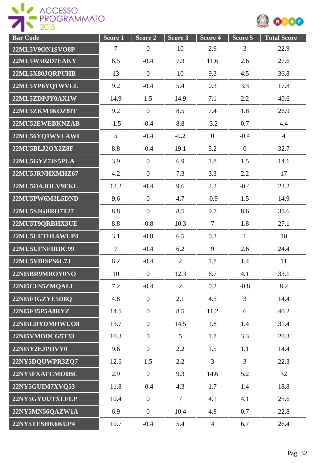

| <b>Bar</b> Code | Score 1        | Score 2          | Score 3        | Score 4        | Score 5        | <b>Total Score</b> |
|-----------------|----------------|------------------|----------------|----------------|----------------|--------------------|
| 22ML5V9ON1SVO8P | $\tau$         | $\mathbf{0}$     | 10             | 2.9            | 3              | 22.9               |
| 22ML5W502D7EAKY | 6.5            | $-0.4$           | 7.3            | 11.6           | 2.6            | 27.6               |
| 22ML5X80JQRPUHB | 13             | $\mathbf{0}$     | 10             | 9.3            | 4.5            | 36.8               |
| 22ML5YP6YQ1WVLL | 9.2            | $-0.4$           | 5.4            | 0.3            | 3.3            | 17.8               |
| 22ML5ZDPJY0AX1W | 14.9           | 1.5              | 14.9           | 7.1            | 2.2            | 40.6               |
| 22ML5ZKM3KOZ8IT | 9.2            | $\mathbf{0}$     | 8.5            | 7.4            | 1.8            | 26.9               |
| 22MU52EWEBKNZAB | $-1.5$         | $-0.4$           | 8.8            | $-3.2$         | 0.7            | 4.4                |
| 22MU56YQ1WVLAWI | 5              | $-0.4$           | $-0.2$         | $\mathbf{0}$   | $-0.4$         | $\overline{4}$     |
| 22MU5BLJ2OX2Z8F | 8.8            | $-0.4$           | 19.1           | 5.2            | $\overline{0}$ | 32.7               |
| 22MU5GYZ7JS5PUA | 3.9            | $\mathbf{0}$     | 6.9            | 1.8            | 1.5            | 14.1               |
| 22MU5JRNHXMHZ67 | 4.2            | $\mathbf{0}$     | 7.3            | 3.3            | 2.2            | 17                 |
| 22MU5OAJOLV9EKL | 12.2           | $-0.4$           | 9.6            | 2.2            | $-0.4$         | 23.2               |
| 22MU5PW6M2L5DND | 9.6            | $\overline{0}$   | 4.7            | $-0.9$         | 1.5            | 14.9               |
| 22MU5SJGBRO7T27 | 8.8            | $\mathbf{0}$     | 8.5            | 9.7            | 8.6            | 35.6               |
| 22MU5T9QRBHX3UE | 8.8            | $-0.8$           | 10.3           | $\overline{7}$ | 1.8            | 27.1               |
| 22MU5UETHL6WUP4 | 3.1            | $-0.8$           | 6.5            | 0.2            | $\mathbf{1}$   | 10                 |
| 22MU5UFNFIRDC99 | $\overline{7}$ | $-0.4$           | 6.2            | 9              | 2.6            | 24.4               |
| 22MU5VBISPS6L7J | 6.2            | $-0.4$           | $\overline{2}$ | 1.8            | 1.4            | 11                 |
| 22NI5BR9MROY0NO | 10             | $\boldsymbol{0}$ | 12.3           | 6.7            | 4.1            | 33.1               |
| 22NI5CFS5ZMQALU | 7.2            | $-0.4$           | $\overline{2}$ | 0.2            | $-0.8$         | 8.2                |
| 22NI5F1GZYE5D8Q | 4.8            | $\mathbf{0}$     | 2.1            | 4.5            | $\overline{3}$ | 14.4               |
| 22NI5F35P5A8RYZ | 14.5           | $\mathbf{0}$     | 8.5            | 11.2           | 6              | 40.2               |
| 22NI5LDYDMHWUO8 | 13.7           | $\mathbf{0}$     | 14.5           | 1.8            | 1.4            | 31.4               |
| 22NI5VMDDCG5T33 | 10.3           | $\overline{0}$   | 5 <sup>5</sup> | 1.7            | 3.3            | 20.3               |
| 22NI5Y2EJPIIVY0 | 9.6            | $\overline{0}$   | 2.2            | 1.5            | 1.1            | 14.4               |
| 22NY5DQUWPR3ZQ7 | 12.6           | 1.5              | 2.2            | $\overline{3}$ | $\overline{3}$ | 22.3               |
| 22NY5FXAFCMO0BC | 2.9            | $\overline{0}$   | 9.3            | 14.6           | 5.2            | 32                 |
| 22NY5GUIM7XVQ53 | 11.8           | $-0.4$           | 4.3            | 1.7            | 1.4            | 18.8               |
| 22NY5GYUUTXLFLP | 10.4           | $\boldsymbol{0}$ | $\overline{7}$ | 4.1            | 4.1            | 25.6               |
| 22NY5MN56QAZW1A | 6.9            | $\mathbf{0}$     | 10.4           | 4.8            | 0.7            | 22.8               |
| 22NY5TESHK6KUP4 | 10.7           | $-0.4$           | 5.4            | $\overline{4}$ | 6.7            | 26.4               |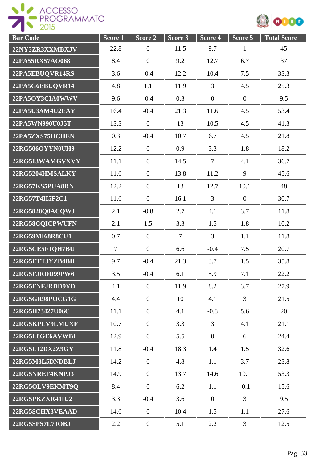

| <b>Bar Code</b> | Score <sub>1</sub> | Score 2          | Score 3        | Score 4        | Score 5          | <b>Total Score</b> |
|-----------------|--------------------|------------------|----------------|----------------|------------------|--------------------|
| 22NY5ZR3XXMBXJV | 22.8               | $\overline{0}$   | 11.5           | 9.7            | $\mathbf{1}$     | 45                 |
| 22PA55RX57AO068 | 8.4                | $\overline{0}$   | 9.2            | 12.7           | 6.7              | 37                 |
| 22PA5EBUQVR14RS | 3.6                | $-0.4$           | 12.2           | 10.4           | 7.5              | 33.3               |
| 22PA5G6EBUQVR14 | 4.8                | 1.1              | 11.9           | $\overline{3}$ | 4.5              | 25.3               |
| 22PA5OY3CIA0WWV | 9.6                | $-0.4$           | 0.3            | $\mathbf{0}$   | $\boldsymbol{0}$ | 9.5                |
| 22PA5U3AM4U2EAY | 16.4               | $-0.4$           | 21.3           | 11.6           | 4.5              | 53.4               |
| 22PA5WN990U0J5T | 13.3               | $\mathbf{0}$     | 13             | 10.5           | 4.5              | 41.3               |
| 22PA5ZXS75HCHEN | 0.3                | $-0.4$           | 10.7           | 6.7            | 4.5              | 21.8               |
| 22RG506OYYN0UH9 | 12.2               | $\mathbf{0}$     | 0.9            | 3.3            | 1.8              | 18.2               |
| 22RG513WAMGVXVY | 11.1               | $\mathbf{0}$     | 14.5           | $\overline{7}$ | 4.1              | 36.7               |
| 22RG5204HMSALKY | 11.6               | $\overline{0}$   | 13.8           | 11.2           | 9                | 45.6               |
| 22RG57KS5PUA8RN | 12.2               | $\boldsymbol{0}$ | 13             | 12.7           | 10.1             | 48                 |
| 22RG57T4II5F2C1 | 11.6               | $\overline{0}$   | 16.1           | $\overline{3}$ | $\overline{0}$   | 30.7               |
| 22RG5828Q0ACQWJ | 2.1                | $-0.8$           | 2.7            | 4.1            | 3.7              | 11.8               |
| 22RG58CQICPWUFN | 2.1                | 1.5              | 3.3            | 1.5            | 1.8              | 10.2               |
| 22RG59MI68R8CU1 | 0.7                | $\overline{0}$   | $\overline{7}$ | $\overline{3}$ | 1.1              | 11.8               |
| 22RG5CE5FJQH7BU | $\overline{7}$     | $\overline{0}$   | 6.6            | $-0.4$         | 7.5              | 20.7               |
| 22RG5ETT3YZB4BH | 9.7                | $-0.4$           | 21.3           | 3.7            | 1.5              | 35.8               |
| 22RG5FJRDD99PW6 | 3.5                | $-0.4$           | 6.1            | 5.9            | 7.1              | 22.2               |
| 22RG5FNFJRDD9YD | 4.1                | $\mathbf{0}$     | 11.9           | 8.2            | 3.7              | 27.9               |
| 22RG5GR98POCG1G | 4.4                | $\mathbf{0}$     | 10             | 4.1            | $\overline{3}$   | 21.5               |
| 22RG5H73427U06C | 11.1               | $\mathbf{0}$     | 4.1            | $-0.8$         | 5.6              | 20                 |
| 22RG5KPLV9LMUXF | 10.7               | $\overline{0}$   | 3.3            | $\overline{3}$ | 4.1              | 21.1               |
| 22RG5L8GE6AVWBI | 12.9               | $\mathbf{0}$     | 5.5            | $\overline{0}$ | 6                | 24.4               |
| 22RG5LJ2DX2Z9GY | 11.8               | $-0.4$           | 18.3           | 1.4            | 1.5              | 32.6               |
| 22RG5M3L5DNDBLJ | 14.2               | $\mathbf{0}$     | 4.8            | 1.1            | 3.7              | 23.8               |
| 22RG5NREF4KNPJ3 | 14.9               | $\mathbf{0}$     | 13.7           | 14.6           | 10.1             | 53.3               |
| 22RG5OLV9EKMT9Q | 8.4                | $\mathbf{0}$     | 6.2            | 1.1            | $-0.1$           | 15.6               |
| 22RG5PKZXR41IU2 | 3.3                | $-0.4$           | 3.6            | $\mathbf{0}$   | $\overline{3}$   | 9.5                |
| 22RG5SCHX3VEAAD | 14.6               | $\mathbf{0}$     | 10.4           | 1.5            | 1.1              | 27.6               |
| 22RG5SPS7L7JOBJ | 2.2                | $\mathbf{0}$     | 5.1            | 2.2            | $\overline{3}$   | 12.5               |